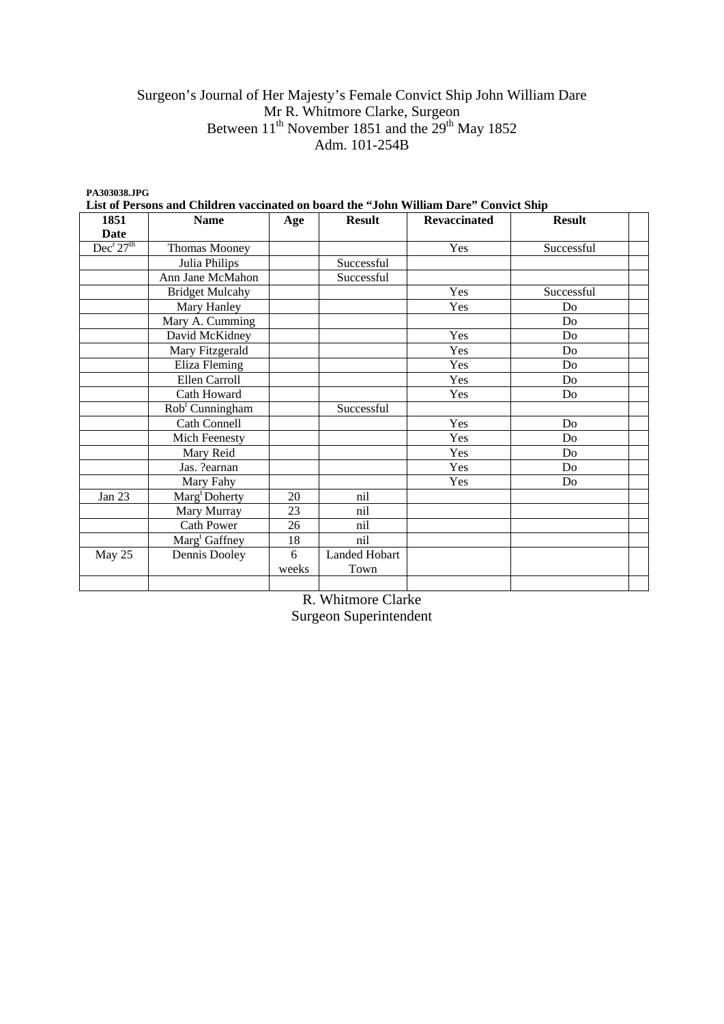# Surgeon's Journal of Her Majesty's Female Convict Ship John William Dare Mr R. Whitmore Clarke, Surgeon Between  $11<sup>th</sup>$  November 1851 and the  $29<sup>th</sup>$  May 1852 Adm. 101-254B

| PA303038.JPG           | List of Persons and Children vaccinated on board the "John William Dare" Convict Ship |       |               |                     |                |  |
|------------------------|---------------------------------------------------------------------------------------|-------|---------------|---------------------|----------------|--|
| 1851                   | <b>Name</b>                                                                           | Age   | <b>Result</b> | <b>Revaccinated</b> | <b>Result</b>  |  |
| Date                   |                                                                                       |       |               |                     |                |  |
| $Dec^r 27^{\text{th}}$ | Thomas Mooney                                                                         |       |               | Yes                 | Successful     |  |
|                        | Julia Philips                                                                         |       | Successful    |                     |                |  |
|                        | Ann Jane McMahon                                                                      |       | Successful    |                     |                |  |
|                        | <b>Bridget Mulcahy</b>                                                                |       |               | Yes                 | Successful     |  |
|                        | Mary Hanley                                                                           |       |               | Yes                 | Do             |  |
|                        | Mary A. Cumming                                                                       |       |               |                     | D <sub>0</sub> |  |
|                        | David McKidney                                                                        |       |               | Yes                 | D <sub>0</sub> |  |
|                        | Mary Fitzgerald                                                                       |       |               | Yes                 | D <sub>0</sub> |  |
|                        | Eliza Fleming                                                                         |       |               | Yes                 | D <sub>0</sub> |  |
|                        | Ellen Carroll                                                                         |       |               | Yes                 | Do             |  |
|                        | Cath Howard                                                                           |       |               | Yes                 | Do             |  |
|                        | Rob <sup>t</sup> Cunningham                                                           |       | Successful    |                     |                |  |
|                        | <b>Cath Connell</b>                                                                   |       |               | Yes                 | D <sub>0</sub> |  |
|                        | Mich Feenesty                                                                         |       |               | Yes                 | D <sub>0</sub> |  |
|                        | Mary Reid                                                                             |       |               | Yes                 | D <sub>0</sub> |  |
|                        | Jas. ?earnan                                                                          |       |               | Yes                 | D <sub>0</sub> |  |
|                        | Mary Fahy                                                                             |       |               | Yes                 | Do             |  |
| Jan 23                 | Marg <sup>t</sup> Doherty                                                             | 20    | nil           |                     |                |  |
|                        | Mary Murray                                                                           | 23    | nil           |                     |                |  |
|                        | <b>Cath Power</b>                                                                     | 26    | nil           |                     |                |  |
|                        | Marg <sup>t</sup> Gaffney                                                             | 18    | nil           |                     |                |  |
| May 25                 | Dennis Dooley                                                                         | 6     | Landed Hobart |                     |                |  |
|                        |                                                                                       | weeks | Town          |                     |                |  |
|                        |                                                                                       |       |               |                     |                |  |

R. Whitmore Clarke Surgeon Superintendent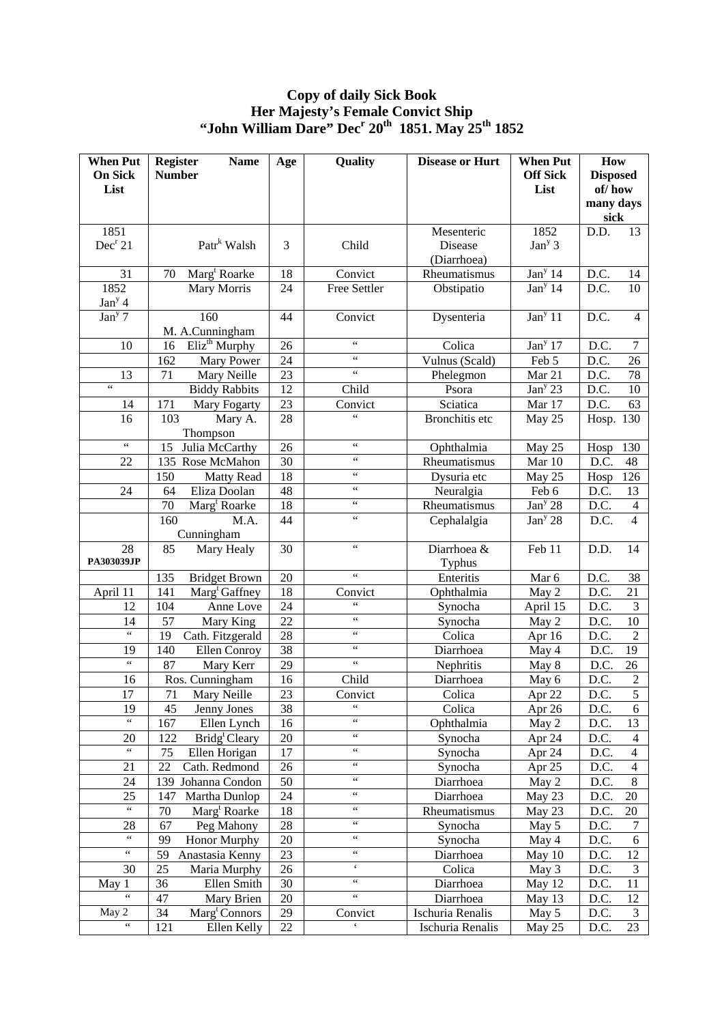### **Copy of daily Sick Book Her Majesty's Female Convict Ship "John William Dare" Dec<sup>r</sup> 20th 1851. May 25th 1852**

| <b>When Put</b>                                | <b>Register</b><br><b>Name</b>   | Age    | Quality                  | <b>Disease or Hurt</b> | <b>When Put</b>     | How                                      |
|------------------------------------------------|----------------------------------|--------|--------------------------|------------------------|---------------------|------------------------------------------|
| <b>On Sick</b>                                 | <b>Number</b>                    |        |                          |                        | <b>Off Sick</b>     | <b>Disposed</b>                          |
| List                                           |                                  |        |                          |                        | List                | of/how                                   |
|                                                |                                  |        |                          |                        |                     | many days<br>sick                        |
| 1851                                           |                                  |        |                          | Mesenteric             | 1852                | D.D.<br>13                               |
| Dec <sup>r</sup> 21                            | Patr <sup>k</sup> Walsh          | 3      | Child                    | Disease                | $Jany$ 3            |                                          |
|                                                |                                  |        |                          | (Diarrhoea)            |                     |                                          |
| 31                                             | Marg <sup>t</sup> Roarke<br>70   | 18     | Convict                  | Rheumatismus           | Jan <sup>y</sup> 14 | D.C.<br>14                               |
| 1852                                           | Mary Morris                      | 24     | Free Settler             | Obstipatio             | Jan <sup>y</sup> 14 | $D.\overline{C}$ .<br>10                 |
| Jan <sup>y</sup> 4                             |                                  |        |                          |                        |                     |                                          |
| Jan <sup>y</sup> 7                             | 160                              | 44     | Convict                  | Dysenteria             | Jan <sup>y</sup> 11 | D.C.<br>$\overline{4}$                   |
|                                                | M. A.Cunningham                  |        |                          |                        |                     |                                          |
| 10                                             | Eliz <sup>th</sup> Murphy<br>16  | 26     | $\zeta$ $\zeta$          | Colica                 | Jan <sup>y</sup> 17 | D.C.<br>7                                |
|                                                | 162<br>Mary Power                | 24     | $\zeta$ $\zeta$          | Vulnus (Scald)         | Feb 5               | D.C.<br>26                               |
| 13                                             | 71<br>Mary Neille                | 23     | $\zeta\,\zeta$           | Phelegmon              | Mar 21              | 78<br>D.C.                               |
| $\zeta\,\zeta$                                 | <b>Biddy Rabbits</b>             | 12     | Child                    | Psora                  | Jan <sup>y</sup> 23 | $10\,$<br>D.C.                           |
| 14                                             | 171<br>Mary Fogarty              | 23     | Convict                  | Sciatica               | Mar 17              | D.C.<br>63                               |
| 16                                             | 103<br>Mary A.                   | 28     | $\zeta\,\zeta$           | Bronchitis etc         | May 25              | Hosp. 130                                |
| $\zeta\,\zeta$                                 | Thompson                         |        | $\zeta$ $\zeta$          |                        |                     |                                          |
|                                                | Julia McCarthy<br>15             | 26     | $\zeta\,\zeta$           | Ophthalmia             | May 25              | Hosp<br>130                              |
| 22                                             | 135 Rose McMahon                 | 30     | $\zeta$ $\zeta$          | Rheumatismus           | Mar 10              | D.C.<br>48                               |
|                                                | 150<br><b>Matty Read</b>         | 18     | $\zeta$ $\zeta$          | Dysuria etc            | May 25              | 126<br>Hosp                              |
| 24                                             | 64<br>Eliza Doolan               | 48     | $\zeta$ $\zeta$          | Neuralgia              | Feb 6               | D.C.<br>13                               |
|                                                | 70<br>Marg <sup>t</sup> Roarke   | 18     | $\zeta$ $\zeta$          | Rheumatismus           | Jan <sup>y</sup> 28 | D.C.<br>$\overline{4}$<br>$\overline{4}$ |
|                                                | 160<br>M.A.                      | 44     |                          | Cephalalgia            | Jan <sup>y</sup> 28 | D.C.                                     |
| 28                                             | Cunningham<br>Mary Healy<br>85   | 30     | $\zeta$ $\zeta$          | Diarrhoea &            | Feb 11              | D.D.<br>14                               |
| PA303039JP                                     |                                  |        |                          | Typhus                 |                     |                                          |
|                                                | <b>Bridget Brown</b><br>135      | 20     | $\zeta\,\zeta$           | Enteritis              | Mar 6               | D.C.<br>38                               |
| April 11                                       | Marg <sup>t</sup> Gaffney<br>141 | 18     | Convict                  | Ophthalmia             | May 2               | 21<br>D.C.                               |
| 12                                             | 104<br>Anne Love                 | 24     | $\zeta\,\zeta$           | Synocha                | April 15            | $\mathfrak{Z}$<br>D.C.                   |
| 14                                             | 57<br>Mary King                  | 22     | $\zeta$ $\zeta$          | Synocha                | May 2               | 10<br>D.C.                               |
| $\zeta\,\zeta$                                 | 19<br>Cath. Fitzgerald           | 28     | $\zeta\,\zeta$           | Colica                 | Apr 16              | $\overline{c}$<br>D.C.                   |
| 19                                             | Ellen Conroy<br>140              | 38     | $\zeta$ $\zeta$          | Diarrhoea              | May 4               | 19<br>D.C.                               |
| $\overline{\omega}$                            | 87<br>Mary Kerr                  | 29     | $\zeta\,\zeta$           | Nephritis              | May 8               | D.C.<br>26                               |
| 16                                             | Ros. Cunningham                  | 16     | Child                    | Diarrhoea              | May 6               | $\overline{2}$<br>D.C.                   |
| 17                                             | 71<br>Mary Neille                | 23     | Convict                  | Colica                 | Apr $22$            | $\overline{5}$<br>D.C.                   |
| 19                                             | 45<br>Jenny Jones                | 38     | $\zeta\,\zeta$           | Colica                 | Apr 26              | D.C.<br>6                                |
| $\zeta\,\zeta$                                 | 167<br>Ellen Lynch               | 16     | $\zeta\,\zeta$           | Ophthalmia             | May 2               | D.C.<br>13                               |
| 20                                             | 122<br>Bridg <sup>t</sup> Cleary | 20     | $\zeta\,\zeta$           | Synocha                | Apr 24              | D.C.<br>$\overline{4}$                   |
| $\overline{\mathfrak{c}\mathfrak{c}}$          | 75<br>Ellen Horigan              | 17     | $\zeta\,\zeta$           | Synocha                | Apr 24              | D.C.<br>$\overline{4}$                   |
| 21                                             | 22<br>Cath. Redmond              | 26     | $\zeta\,\zeta$           | Synocha                | Apr 25              | D.C.<br>$\overline{4}$                   |
| 24                                             | Johanna Condon<br>139            | 50     | $\zeta\,\zeta$           | Diarrhoea              | May 2               | 8<br>D.C.                                |
| 25                                             | 147<br>Martha Dunlop             | 24     | $\zeta\,\zeta$           | Diarrhoea              | May 23              | D.C.<br>20                               |
| $\zeta$ $\zeta$                                | 70<br>Marg <sup>t</sup> Roarke   | 18     | $\zeta\,\zeta$           | Rheumatismus           | May 23              | $20\,$<br>D.C.                           |
| 28                                             | 67<br>Peg Mahony                 | 28     | $\zeta\,\zeta$           | Synocha                | May 5               | $\boldsymbol{7}$<br>D.C.                 |
| $\zeta\,\zeta$                                 | 99<br><b>Honor Murphy</b>        | 20     | $\zeta\,\zeta$           | Synocha                | May 4               | 6<br>D.C.                                |
| $\zeta\,\zeta$                                 | 59<br>Anastasia Kenny            | 23     | $\zeta\,\zeta$           | Diarrhoea              | May 10              | D.C.<br>12                               |
| $30\,$                                         | 25<br>Maria Murphy               | 26     | $\boldsymbol{\varsigma}$ | Colica                 | May 3               | $\mathfrak{Z}$<br>D.C.                   |
| May 1<br>$\overline{\mathbf{66}}$              | 36<br>Ellen Smith                | 30     | $\zeta\,\zeta$           | Diarrhoea              | May 12              | D.C.<br>11                               |
|                                                | 47<br>Mary Brien                 | 20     | $\zeta\,\zeta$           | Diarrhoea              | May 13              | 12<br>D.C.                               |
| May 2<br>$\overline{\mathfrak{c}\mathfrak{c}}$ | 34<br>Marg <sup>t</sup> Connors  | 29     | Convict<br>$\mathbf{c}$  | Ischuria Renalis       | May 5               | $\mathfrak{Z}$<br>D.C.                   |
|                                                | 121<br>Ellen Kelly               | $22\,$ |                          | Ischuria Renalis       | May 25              | 23<br>D.C.                               |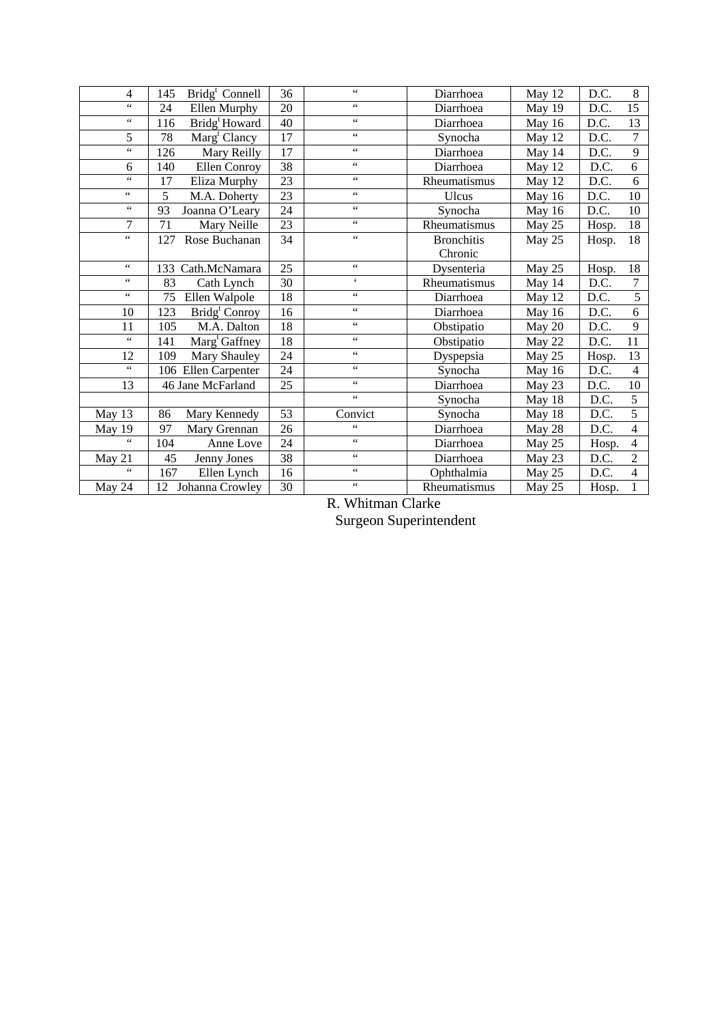| $\overline{4}$          | Bridg <sup>t</sup> Connell<br>145     | 36 | $\zeta\,\zeta$                        | Diarrhoea         | May 12 | 8<br>D.C.               |
|-------------------------|---------------------------------------|----|---------------------------------------|-------------------|--------|-------------------------|
| $\overline{\mathbf{G}}$ | 24<br>Ellen Murphy                    | 20 | $\zeta\,\zeta$                        | Diarrhoea         | May 19 | $\overline{15}$<br>D.C. |
| $\zeta\,\zeta$          | Bridg <sup>t</sup> Howard<br>116      | 40 | $\epsilon$                            | Diarrhoea         | May 16 | 13<br>D.C.              |
| 5                       | $\text{Marg}^{\text{t}}$ Clancy<br>78 | 17 | $\zeta\,\zeta$                        | Synocha           | May 12 | $\overline{7}$<br>D.C.  |
| $\zeta\,\zeta$          | Mary Reilly<br>126                    | 17 | $\zeta$ $\zeta$                       | Diarrhoea         | May 14 | 9<br>D.C.               |
| 6                       | 140<br>Ellen Conroy                   | 38 | $\epsilon$                            | Diarrhoea         | May 12 | 6<br>D.C.               |
| $\epsilon$ $\epsilon$   | 17<br>Eliza Murphy                    | 23 | $\overline{\mathfrak{c}\mathfrak{c}}$ | Rheumatismus      | May 12 | 6<br>D.C.               |
| $\zeta$ $\zeta$         | 5<br>M.A. Doherty                     | 23 | $\zeta$ $\zeta$                       | Ulcus             | May 16 | 10<br>D.C.              |
| $\zeta$ $\zeta$         | 93<br>Joanna O'Leary                  | 24 | $\zeta$ $\zeta$                       | Synocha           | May 16 | $10\,$<br>D.C.          |
| 7                       | 71<br>Mary Neille                     | 23 | $\zeta\,\zeta$                        | Rheumatismus      | May 25 | 18<br>Hosp.             |
| $\zeta$ $\zeta$         | Rose Buchanan<br>127                  | 34 | $\zeta\,\zeta$                        | <b>Bronchitis</b> | May 25 | 18<br>Hosp.             |
|                         |                                       |    |                                       | Chronic           |        |                         |
| $\zeta\,\zeta$          | Cath.McNamara<br>133                  | 25 | $\zeta$ $\zeta$                       | Dysenteria        | May 25 | 18<br>Hosp.             |
| $\zeta$ $\zeta$         | 83<br>Cath Lynch                      | 30 | $\epsilon$                            | Rheumatismus      | May 14 | 7<br>D.C.               |
| $\zeta\,\zeta$          | 75<br>Ellen Walpole                   | 18 | $\zeta$ $\zeta$                       | Diarrhoea         | May 12 | $\overline{5}$<br>D.C.  |
| 10                      | Bridg <sup>t</sup> Conroy<br>123      | 16 | $\epsilon$ $\epsilon$                 | Diarrhoea         | May 16 | 6<br>D.C.               |
| 11                      | 105<br>M.A. Dalton                    | 18 | $\zeta\,\zeta$                        | Obstipatio        | May 20 | 9<br>D.C.               |
| $\zeta$ $\zeta$         | Marg <sup>t</sup> Gaffney<br>141      | 18 | $\zeta$ $\zeta$                       | Obstipatio        | May 22 | 11<br>D.C.              |
| 12                      | Mary Shauley<br>109                   | 24 | $\zeta$ $\zeta$                       | Dyspepsia         | May 25 | 13<br>Hosp.             |
| $\overline{\mathbf{G}}$ | Ellen Carpenter<br>106                | 24 | $\zeta\,\zeta$                        | Synocha           | May 16 | $\overline{4}$<br>D.C.  |
| 13                      | 46 Jane McFarland                     | 25 | $\zeta$ $\zeta$                       | Diarrhoea         | May 23 | D.C.<br>$10\,$          |
|                         |                                       |    | $\epsilon$ $\epsilon$                 | Synocha           | May 18 | $\overline{5}$<br>D.C.  |
| May 13                  | 86<br>Mary Kennedy                    | 53 | Convict                               | Synocha           | May 18 | $\overline{5}$<br>D.C.  |
| May 19                  | 97<br>Mary Grennan                    | 26 | $\ddot{\phantom{a}}$                  | Diarrhoea         | May 28 | $\overline{4}$<br>D.C.  |
| 66                      | 104<br>Anne Love                      | 24 | $\zeta$ $\zeta$                       | Diarrhoea         | May 25 | $\overline{4}$<br>Hosp. |
| May 21                  | 45<br>Jenny Jones                     | 38 | $\zeta$ $\zeta$                       | Diarrhoea         | May 23 | $\overline{2}$<br>D.C.  |
| $\zeta\,\zeta$          | 167<br>Ellen Lynch                    | 16 | $\zeta\,\zeta$                        | Ophthalmia        | May 25 | D.C.<br>$\overline{4}$  |
| May 24                  | Johanna Crowley<br>12                 | 30 | $\overline{\mathbf{G}}$               | Rheumatismus      | May 25 | Hosp.<br>1              |

R. Whitman Clarke

Surgeon Superintendent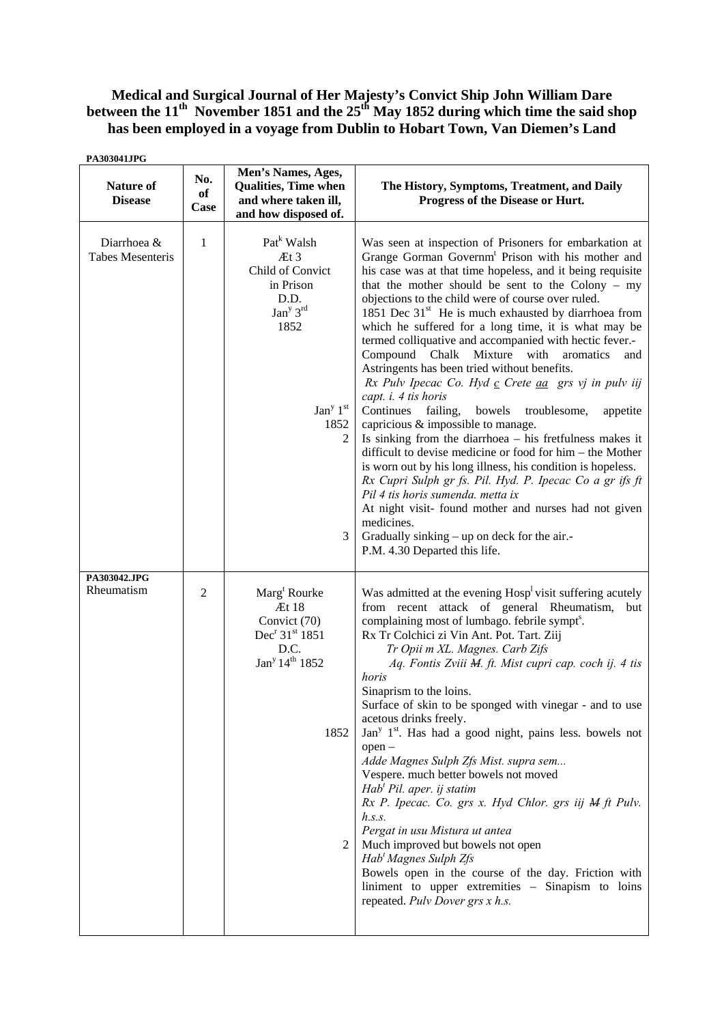## **Medical and Surgical Journal of Her Majesty's Convict Ship John William Dare**  between the 11<sup>th</sup> November 1851 and the 25<sup>th</sup> May 1852 during which time the said shop **has been employed in a voyage from Dublin to Hobart Town, Van Diemen's Land**

| PA303041JPG                            |                   |                                                                                                                                                                            |                                                                                                                                                                                                                                                                                                                                                                                                                                                                                                                                                                                                                                                                                                                                                                                                                                                                                                                                                                                                                                                                                                                                                                                                                                |
|----------------------------------------|-------------------|----------------------------------------------------------------------------------------------------------------------------------------------------------------------------|--------------------------------------------------------------------------------------------------------------------------------------------------------------------------------------------------------------------------------------------------------------------------------------------------------------------------------------------------------------------------------------------------------------------------------------------------------------------------------------------------------------------------------------------------------------------------------------------------------------------------------------------------------------------------------------------------------------------------------------------------------------------------------------------------------------------------------------------------------------------------------------------------------------------------------------------------------------------------------------------------------------------------------------------------------------------------------------------------------------------------------------------------------------------------------------------------------------------------------|
| Nature of<br><b>Disease</b>            | No.<br>of<br>Case | Men's Names, Ages,<br><b>Qualities, Time when</b><br>and where taken ill,<br>and how disposed of.                                                                          | The History, Symptoms, Treatment, and Daily<br>Progress of the Disease or Hurt.                                                                                                                                                                                                                                                                                                                                                                                                                                                                                                                                                                                                                                                                                                                                                                                                                                                                                                                                                                                                                                                                                                                                                |
| Diarrhoea &<br><b>Tabes Mesenteris</b> | $\mathbf{1}$      | Pat <sup>k</sup> Walsh<br>Æt 3<br>Child of Convict<br>in Prison<br>D.D.<br>Jan <sup>y</sup> 3 <sup>rd</sup><br>1852<br>Jan <sup>y <math>1st</math></sup><br>1852<br>2<br>3 | Was seen at inspection of Prisoners for embarkation at<br>Grange Gorman Governm <sup>t</sup> Prison with his mother and<br>his case was at that time hopeless, and it being requisite<br>that the mother should be sent to the Colony $-$ my<br>objections to the child were of course over ruled.<br>1851 Dec $31st$ He is much exhausted by diarrhoea from<br>which he suffered for a long time, it is what may be<br>termed colliquative and accompanied with hectic fever.-<br>Compound<br>Chalk<br>Mixture<br>with<br>aromatics<br>and<br>Astringents has been tried without benefits.<br>Rx Pulv Ipecac Co. Hyd c Crete aa grs vj in pulv iij<br>capt. i. 4 tis horis<br>Continues failing,<br>bowels<br>troublesome,<br>appetite<br>capricious & impossible to manage.<br>Is sinking from the diarrhoea – his fretfulness makes it<br>difficult to devise medicine or food for him - the Mother<br>is worn out by his long illness, his condition is hopeless.<br>Rx Cupri Sulph gr fs. Pil. Hyd. P. Ipecac Co a gr ifs ft<br>Pil 4 tis horis sumenda. metta ix<br>At night visit- found mother and nurses had not given<br>medicines.<br>Gradually sinking – up on deck for the air.-<br>P.M. 4.30 Departed this life. |
| PA303042.JPG<br>Rheumatism             | $\overline{2}$    | Marg <sup>t</sup> Rourke<br>Æt 18<br>Convict (70)<br>Dec <sup>r</sup> 31 <sup>st</sup> 1851<br>D.C.<br>Jan <sup>y</sup> 14 <sup>th</sup> 1852<br>1852<br>2                 | Was admitted at the evening Hosp <sup>1</sup> visit suffering acutely<br>from recent attack of general Rheumatism, but<br>complaining most of lumbago. febrile sympt <sup>s</sup> .<br>Rx Tr Colchici zi Vin Ant. Pot. Tart. Ziij<br>Tr Opii m XL. Magnes. Carb Zifs<br>Aq. Fontis Zviii M. ft. Mist cupri cap. coch ij. 4 tis<br>horis<br>Sinaprism to the loins.<br>Surface of skin to be sponged with vinegar - and to use<br>acetous drinks freely.<br>Jan <sup>y</sup> $1st$ . Has had a good night, pains less. bowels not<br>open-<br>Adde Magnes Sulph Zfs Mist. supra sem<br>Vespere. much better bowels not moved<br>$Habt$ Pil. aper. ij statim<br>Rx P. Ipecac. Co. grs x. Hyd Chlor. grs iij M ft Pulv.<br>h.s.s.<br>Pergat in usu Mistura ut antea<br>Much improved but bowels not open<br>Hab' Magnes Sulph Zfs<br>Bowels open in the course of the day. Friction with<br>liniment to upper extremities - Sinapism to loins<br>repeated. Pulv Dover grs x h.s.                                                                                                                                                                                                                                                  |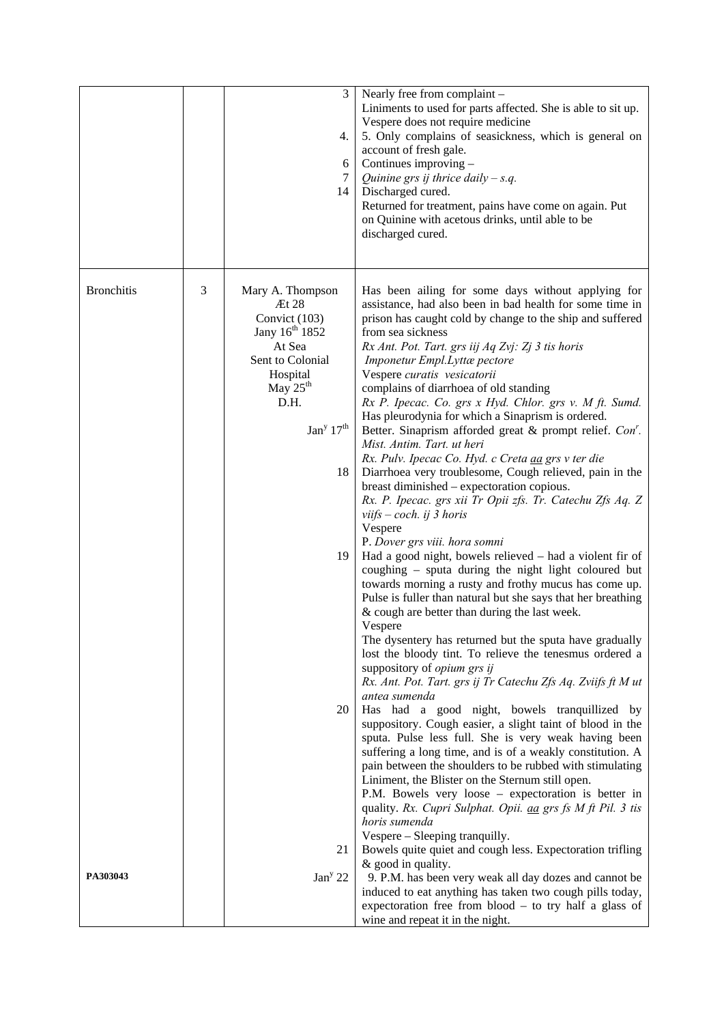|                   |   | 3<br>4.<br>6<br>7<br>14                                                                                                                                                                   | Nearly free from complaint -<br>Liniments to used for parts affected. She is able to sit up.<br>Vespere does not require medicine<br>5. Only complains of seasickness, which is general on<br>account of fresh gale.<br>Continues improving -<br>Quinine grs ij thrice daily $-s.q$ .<br>Discharged cured.<br>Returned for treatment, pains have come on again. Put<br>on Quinine with acetous drinks, until able to be<br>discharged cured.                                                                                                                                                                                                                                                                                                                                                                                                                                                                                                                                                                                                                                                                                                                                                                                                                                                                                                                                                                                  |
|-------------------|---|-------------------------------------------------------------------------------------------------------------------------------------------------------------------------------------------|-------------------------------------------------------------------------------------------------------------------------------------------------------------------------------------------------------------------------------------------------------------------------------------------------------------------------------------------------------------------------------------------------------------------------------------------------------------------------------------------------------------------------------------------------------------------------------------------------------------------------------------------------------------------------------------------------------------------------------------------------------------------------------------------------------------------------------------------------------------------------------------------------------------------------------------------------------------------------------------------------------------------------------------------------------------------------------------------------------------------------------------------------------------------------------------------------------------------------------------------------------------------------------------------------------------------------------------------------------------------------------------------------------------------------------|
| <b>Bronchitis</b> | 3 | Mary A. Thompson<br>Et 28<br>Convict (103)<br>Jany 16 <sup>th</sup> 1852<br>At Sea<br>Sent to Colonial<br>Hospital<br>May $25th$<br>D.H.<br>Jan <sup>y</sup> 17 <sup>th</sup><br>18<br>19 | Has been ailing for some days without applying for<br>assistance, had also been in bad health for some time in<br>prison has caught cold by change to the ship and suffered<br>from sea sickness<br>Rx Ant. Pot. Tart. grs iij Aq Zvj: Zj 3 tis horis<br>Imponetur Empl.Lyttæ pectore<br>Vespere curatis vesicatorii<br>complains of diarrhoea of old standing<br>Rx P. Ipecac. Co. grs x Hyd. Chlor. grs v. M ft. Sumd.<br>Has pleurodynia for which a Sinaprism is ordered.<br>Better. Sinaprism afforded great & prompt relief. Con'.<br>Mist. Antim. Tart. ut heri<br>Rx. Pulv. Ipecac Co. Hyd. c Creta aa grs v ter die<br>Diarrhoea very troublesome, Cough relieved, pain in the<br>breast diminished – expectoration copious.<br>Rx. P. Ipecac. grs xii Tr Opii zfs. Tr. Catechu Zfs Aq. Z<br>viifs $- \cosh$ . ij 3 horis<br>Vespere<br>P. Dover grs viii. hora somni<br>Had a good night, bowels relieved - had a violent fir of<br>coughing - sputa during the night light coloured but<br>towards morning a rusty and frothy mucus has come up.<br>Pulse is fuller than natural but she says that her breathing<br>& cough are better than during the last week.<br>Vespere<br>The dysentery has returned but the sputa have gradually<br>lost the bloody tint. To relieve the tenesmus ordered a<br>suppository of opium grs ij<br>Rx. Ant. Pot. Tart. grs ij Tr Catechu Zfs Aq. Zviifs ft M ut<br>antea sumenda |
|                   |   | 20                                                                                                                                                                                        | Has had a good night, bowels tranquillized by<br>suppository. Cough easier, a slight taint of blood in the<br>sputa. Pulse less full. She is very weak having been<br>suffering a long time, and is of a weakly constitution. A<br>pain between the shoulders to be rubbed with stimulating<br>Liniment, the Blister on the Sternum still open.<br>P.M. Bowels very loose – expectoration is better in<br>quality. Rx. Cupri Sulphat. Opii. <i>aa grs fs M ft Pil.</i> 3 tis<br>horis sumenda<br>Vespere – Sleeping tranquilly.                                                                                                                                                                                                                                                                                                                                                                                                                                                                                                                                                                                                                                                                                                                                                                                                                                                                                               |
| PA303043          |   | 21<br>Jan <sup>y</sup> 22                                                                                                                                                                 | Bowels quite quiet and cough less. Expectoration trifling<br>& good in quality.<br>9. P.M. has been very weak all day dozes and cannot be<br>induced to eat anything has taken two cough pills today,<br>expectoration free from $blood - to try half a glass of$<br>wine and repeat it in the night.                                                                                                                                                                                                                                                                                                                                                                                                                                                                                                                                                                                                                                                                                                                                                                                                                                                                                                                                                                                                                                                                                                                         |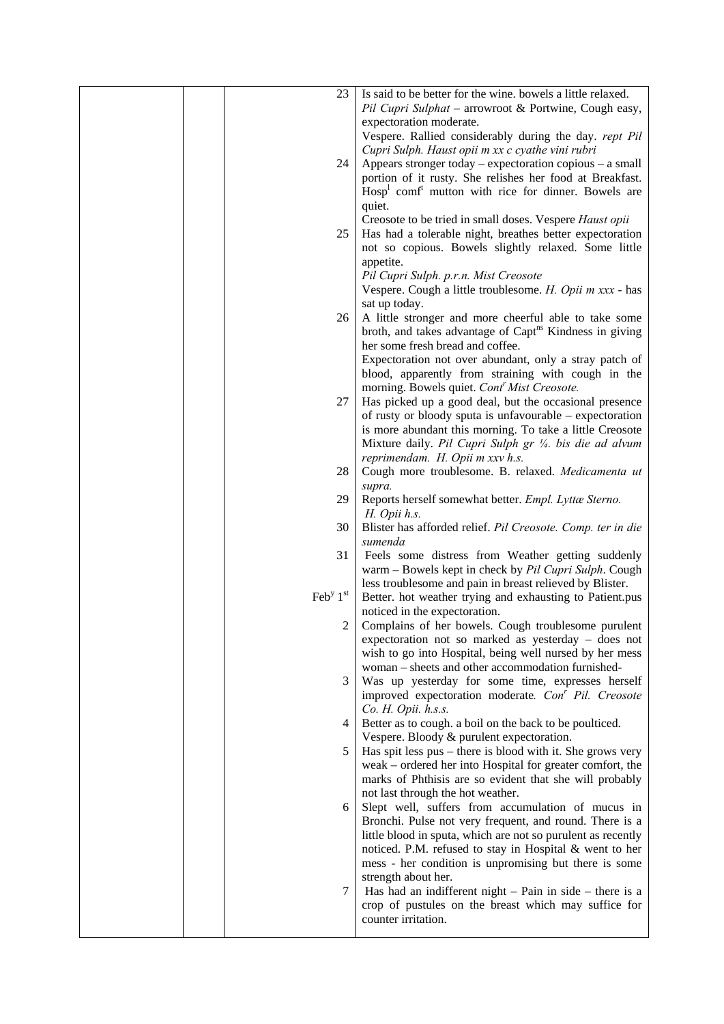|  | 23                                    | Is said to be better for the wine, bowels a little relaxed.         |
|--|---------------------------------------|---------------------------------------------------------------------|
|  |                                       |                                                                     |
|  |                                       | Pil Cupri Sulphat - arrowroot & Portwine, Cough easy,               |
|  |                                       | expectoration moderate.                                             |
|  |                                       | Vespere. Rallied considerably during the day. rept Pil              |
|  |                                       | Cupri Sulph. Haust opii m xx c cyathe vini rubri                    |
|  | 24                                    | Appears stronger today – expectoration copious – a small            |
|  |                                       | portion of it rusty. She relishes her food at Breakfast.            |
|  |                                       | $Hosp1$ comf <sup>t</sup> mutton with rice for dinner. Bowels are   |
|  |                                       | quiet.                                                              |
|  |                                       | Creosote to be tried in small doses. Vespere Haust opii             |
|  | 25                                    | Has had a tolerable night, breathes better expectoration            |
|  |                                       | not so copious. Bowels slightly relaxed. Some little                |
|  |                                       |                                                                     |
|  |                                       | appetite.                                                           |
|  |                                       | Pil Cupri Sulph. p.r.n. Mist Creosote                               |
|  |                                       | Vespere. Cough a little troublesome. H. Opii m xxx - has            |
|  |                                       | sat up today.                                                       |
|  | 26                                    | A little stronger and more cheerful able to take some               |
|  |                                       | broth, and takes advantage of Capt <sup>ns</sup> Kindness in giving |
|  |                                       | her some fresh bread and coffee.                                    |
|  |                                       | Expectoration not over abundant, only a stray patch of              |
|  |                                       | blood, apparently from straining with cough in the                  |
|  |                                       | morning. Bowels quiet. Cont <sup>r</sup> Mist Creosote.             |
|  | 27                                    | Has picked up a good deal, but the occasional presence              |
|  |                                       |                                                                     |
|  |                                       | of rusty or bloody sputa is unfavourable – expectoration            |
|  |                                       | is more abundant this morning. To take a little Creosote            |
|  |                                       | Mixture daily. Pil Cupri Sulph gr 1/4. bis die ad alvum             |
|  |                                       | reprimendam. H. Opii m xxv h.s.                                     |
|  | 28                                    | Cough more troublesome. B. relaxed. Medicamenta ut                  |
|  |                                       | supra.                                                              |
|  | 29                                    | Reports herself somewhat better. Empl. Lyttæ Sterno.                |
|  |                                       | H. Opii h.s.                                                        |
|  | 30                                    | Blister has afforded relief. Pil Creosote. Comp. ter in die         |
|  |                                       | sumenda                                                             |
|  |                                       |                                                                     |
|  | 31                                    | Feels some distress from Weather getting suddenly                   |
|  |                                       | warm - Bowels kept in check by Pil Cupri Sulph. Cough               |
|  |                                       | less troublesome and pain in breast relieved by Blister.            |
|  | $\text{Feb}^{\text{y}} 1^{\text{st}}$ | Better. hot weather trying and exhausting to Patient.pus            |
|  |                                       | noticed in the expectoration.                                       |
|  | 2                                     | Complains of her bowels. Cough troublesome purulent                 |
|  |                                       | expectoration not so marked as yesterday - does not                 |
|  |                                       | wish to go into Hospital, being well nursed by her mess             |
|  |                                       | woman - sheets and other accommodation furnished-                   |
|  | 3                                     | Was up yesterday for some time, expresses herself                   |
|  |                                       | improved expectoration moderate. Con' Pil. Creosote                 |
|  |                                       | Co. H. Opii. h.s.s.                                                 |
|  |                                       |                                                                     |
|  | 4                                     | Better as to cough. a boil on the back to be poulticed.             |
|  |                                       | Vespere. Bloody & purulent expectoration.                           |
|  | 5                                     | Has spit less pus – there is blood with it. She grows very          |
|  |                                       | weak - ordered her into Hospital for greater comfort, the           |
|  |                                       | marks of Phthisis are so evident that she will probably             |
|  |                                       | not last through the hot weather.                                   |
|  | 6                                     | Slept well, suffers from accumulation of mucus in                   |
|  |                                       | Bronchi. Pulse not very frequent, and round. There is a             |
|  |                                       | little blood in sputa, which are not so purulent as recently        |
|  |                                       | noticed. P.M. refused to stay in Hospital & went to her             |
|  |                                       |                                                                     |
|  |                                       | mess - her condition is unpromising but there is some               |
|  |                                       | strength about her.                                                 |
|  | 7                                     | Has had an indifferent night $-$ Pain in side $-$ there is a        |
|  |                                       | crop of pustules on the breast which may suffice for                |
|  |                                       | counter irritation.                                                 |
|  |                                       |                                                                     |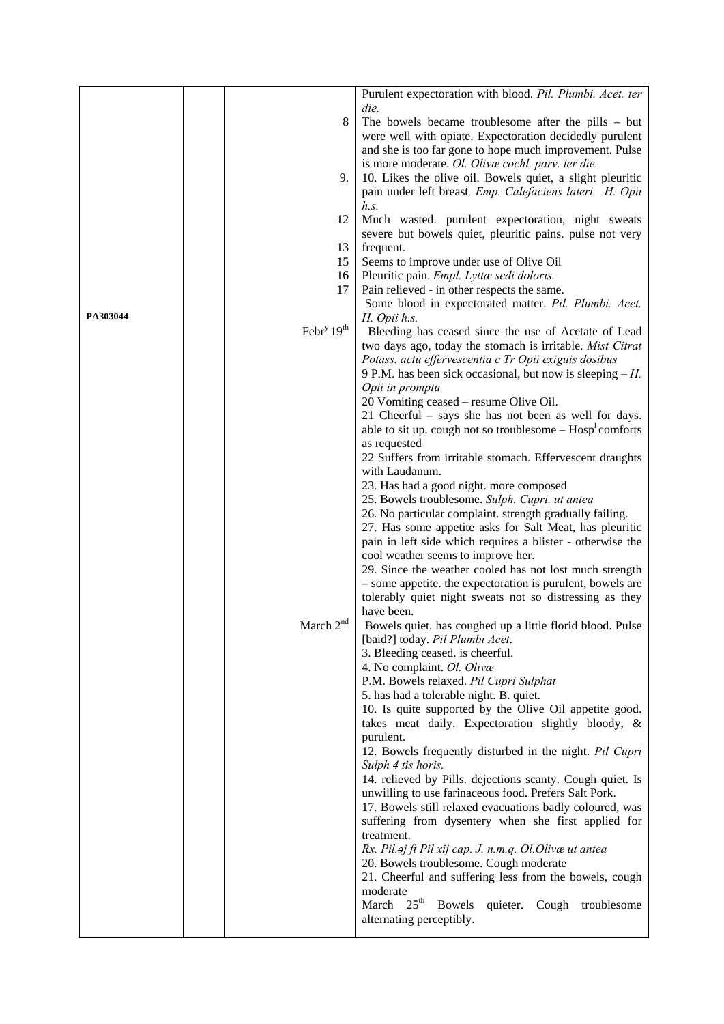|          |                                    | Purulent expectoration with blood. Pil. Plumbi. Acet. ter               |
|----------|------------------------------------|-------------------------------------------------------------------------|
|          |                                    | die.                                                                    |
|          | 8                                  | The bowels became troublesome after the pills $-$ but                   |
|          |                                    | were well with opiate. Expectoration decidedly purulent                 |
|          |                                    | and she is too far gone to hope much improvement. Pulse                 |
|          |                                    | is more moderate. Ol. Olivæ cochl. parv. ter die.                       |
|          |                                    |                                                                         |
|          | 9.                                 | 10. Likes the olive oil. Bowels quiet, a slight pleuritic               |
|          |                                    | pain under left breast. Emp. Calefaciens lateri. H. Opii                |
|          |                                    | h.s.                                                                    |
|          | 12                                 | Much wasted. purulent expectoration, night sweats                       |
|          |                                    | severe but bowels quiet, pleuritic pains. pulse not very                |
|          | 13                                 | frequent.                                                               |
|          | 15                                 | Seems to improve under use of Olive Oil                                 |
|          | 16                                 | Pleuritic pain. Empl. Lyttæ sedi doloris.                               |
|          | 17                                 | Pain relieved - in other respects the same.                             |
|          |                                    | Some blood in expectorated matter. Pil. Plumbi. Acet.                   |
| PA303044 |                                    | H. Opii h.s.                                                            |
|          | Febr <sup>y</sup> 19 <sup>th</sup> |                                                                         |
|          |                                    | Bleeding has ceased since the use of Acetate of Lead                    |
|          |                                    | two days ago, today the stomach is irritable. Mist Citrat               |
|          |                                    | Potass. actu effervescentia c Tr Opii exiguis dosibus                   |
|          |                                    | 9 P.M. has been sick occasional, but now is sleeping $-H$ .             |
|          |                                    | Opii in promptu                                                         |
|          |                                    | 20 Vomiting ceased – resume Olive Oil.                                  |
|          |                                    | 21 Cheerful – says she has not been as well for days.                   |
|          |                                    | able to sit up. cough not so troublesome $-$ Hosp <sup>1</sup> comforts |
|          |                                    | as requested                                                            |
|          |                                    | 22 Suffers from irritable stomach. Effervescent draughts                |
|          |                                    | with Laudanum.                                                          |
|          |                                    | 23. Has had a good night. more composed                                 |
|          |                                    | 25. Bowels troublesome. Sulph. Cupri. ut antea                          |
|          |                                    |                                                                         |
|          |                                    | 26. No particular complaint. strength gradually failing.                |
|          |                                    | 27. Has some appetite asks for Salt Meat, has pleuritic                 |
|          |                                    | pain in left side which requires a blister - otherwise the              |
|          |                                    | cool weather seems to improve her.                                      |
|          |                                    | 29. Since the weather cooled has not lost much strength                 |
|          |                                    | - some appetite. the expectoration is purulent, bowels are              |
|          |                                    | tolerably quiet night sweats not so distressing as they                 |
|          |                                    | have been.                                                              |
|          | March 2 <sup>nd</sup>              | Bowels quiet. has coughed up a little florid blood. Pulse               |
|          |                                    | [baid?] today. Pil Plumbi Acet.                                         |
|          |                                    | 3. Bleeding ceased. is cheerful.                                        |
|          |                                    | 4. No complaint. Ol. Olivæ                                              |
|          |                                    | P.M. Bowels relaxed. Pil Cupri Sulphat                                  |
|          |                                    | 5. has had a tolerable night. B. quiet.                                 |
|          |                                    |                                                                         |
|          |                                    | 10. Is quite supported by the Olive Oil appetite good.                  |
|          |                                    | takes meat daily. Expectoration slightly bloody, &                      |
|          |                                    | purulent.                                                               |
|          |                                    | 12. Bowels frequently disturbed in the night. Pil Cupri                 |
|          |                                    | Sulph 4 tis horis.                                                      |
|          |                                    | 14. relieved by Pills. dejections scanty. Cough quiet. Is               |
|          |                                    | unwilling to use farinaceous food. Prefers Salt Pork.                   |
|          |                                    | 17. Bowels still relaxed evacuations badly coloured, was                |
|          |                                    | suffering from dysentery when she first applied for                     |
|          |                                    | treatment.                                                              |
|          |                                    | Rx. Pil.aj ft Pil xij cap. J. n.m.q. Ol. Olivæ ut antea                 |
|          |                                    |                                                                         |
|          |                                    | 20. Bowels troublesome. Cough moderate                                  |
|          |                                    | 21. Cheerful and suffering less from the bowels, cough                  |
|          |                                    | moderate                                                                |
|          |                                    | March 25 <sup>th</sup> Bowels<br>quieter. Cough troublesome             |
|          |                                    | alternating perceptibly.                                                |
|          |                                    |                                                                         |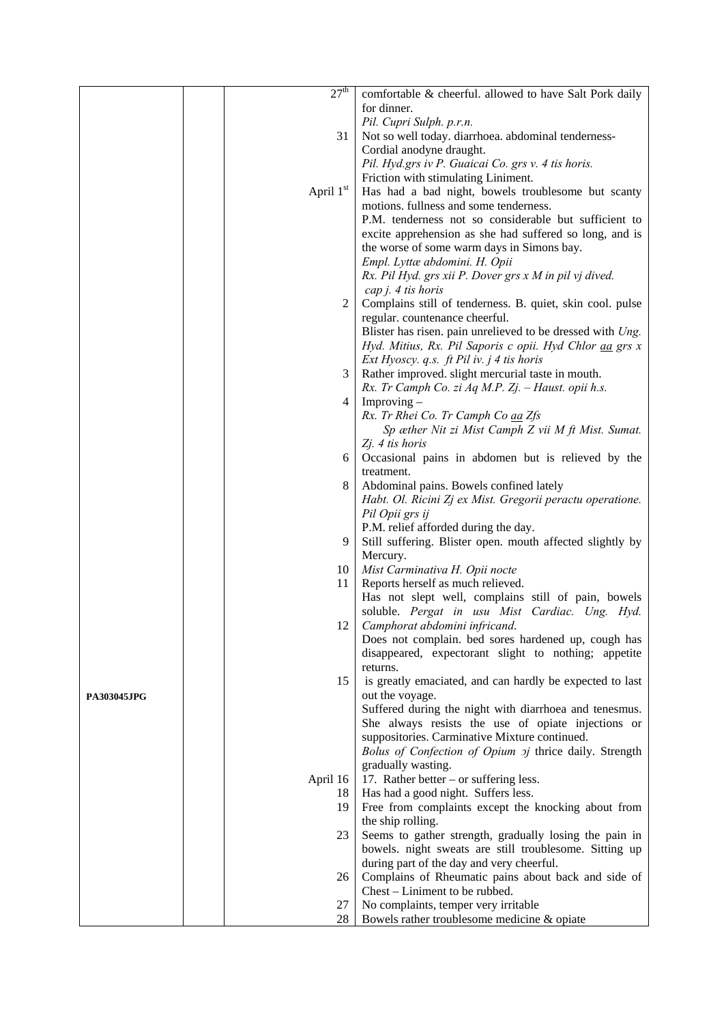|                    | 27 <sup>th</sup> | comfortable & cheerful. allowed to have Salt Pork daily                                                      |
|--------------------|------------------|--------------------------------------------------------------------------------------------------------------|
|                    |                  | for dinner.                                                                                                  |
|                    |                  | Pil. Cupri Sulph. p.r.n.                                                                                     |
|                    | 31               | Not so well today. diarrhoea. abdominal tenderness-                                                          |
|                    |                  | Cordial anodyne draught.                                                                                     |
|                    |                  | Pil. Hyd.grs iv P. Guaicai Co. grs v. 4 tis horis.                                                           |
|                    |                  | Friction with stimulating Liniment.                                                                          |
|                    |                  |                                                                                                              |
|                    | April $1st$      | Has had a bad night, bowels troublesome but scanty                                                           |
|                    |                  | motions. fullness and some tenderness.                                                                       |
|                    |                  | P.M. tenderness not so considerable but sufficient to                                                        |
|                    |                  | excite apprehension as she had suffered so long, and is                                                      |
|                    |                  | the worse of some warm days in Simons bay.                                                                   |
|                    |                  | Empl. Lyttæ abdomini. H. Opii                                                                                |
|                    |                  | Rx. Pil Hyd. grs xii P. Dover grs x M in pil vj dived.                                                       |
|                    |                  | $cap j. 4$ tis horis                                                                                         |
|                    | 2                | Complains still of tenderness. B. quiet, skin cool. pulse                                                    |
|                    |                  | regular. countenance cheerful.                                                                               |
|                    |                  | Blister has risen. pain unrelieved to be dressed with Ung.                                                   |
|                    |                  | Hyd. Mitius, Rx. Pil Saporis c opii. Hyd Chlor aa grs x                                                      |
|                    |                  | Ext Hyoscy. q.s. $ft$ Pil iv. $j$ 4 tis horis                                                                |
|                    | 3                | Rather improved. slight mercurial taste in mouth.                                                            |
|                    |                  | Rx. Tr Camph Co. zi Aq M.P. Zj. - Haust. opii h.s.                                                           |
|                    | 4                | Improving $-$                                                                                                |
|                    |                  | Rx. Tr Rhei Co. Tr Camph Co aa Zfs                                                                           |
|                    |                  | Sp æther Nit zi Mist Camph Z vii M ft Mist. Sumat.                                                           |
|                    |                  | Zj. 4 tis horis                                                                                              |
|                    | 6                | Occasional pains in abdomen but is relieved by the                                                           |
|                    |                  | treatment.                                                                                                   |
|                    | 8                | Abdominal pains. Bowels confined lately                                                                      |
|                    |                  | Habt. Ol. Ricini Zj ex Mist. Gregorii peractu operatione.                                                    |
|                    |                  | Pil Opii grs ij                                                                                              |
|                    |                  | P.M. relief afforded during the day.                                                                         |
|                    | 9                | Still suffering. Blister open. mouth affected slightly by                                                    |
|                    |                  | Mercury.                                                                                                     |
|                    | 10               | Mist Carminativa H. Opii nocte                                                                               |
|                    | 11               | Reports herself as much relieved.                                                                            |
|                    |                  | Has not slept well, complains still of pain, bowels                                                          |
|                    |                  | soluble. Pergat in usu Mist Cardiac. Ung. Hyd.                                                               |
|                    | 12               | Camphorat abdomini infricand.                                                                                |
|                    |                  | Does not complain. bed sores hardened up, cough has                                                          |
|                    |                  | disappeared, expectorant slight to nothing; appetite                                                         |
|                    |                  | returns.                                                                                                     |
|                    | 15               | is greatly emaciated, and can hardly be expected to last                                                     |
| <b>PA303045JPG</b> |                  | out the voyage.                                                                                              |
|                    |                  | Suffered during the night with diarrhoea and tenesmus.<br>She always resists the use of opiate injections or |
|                    |                  | suppositories. Carminative Mixture continued.                                                                |
|                    |                  |                                                                                                              |
|                    |                  | Bolus of Confection of Opium oj thrice daily. Strength<br>gradually wasting.                                 |
|                    | April 16         | 17. Rather better $-$ or suffering less.                                                                     |
|                    |                  |                                                                                                              |
|                    | 18<br>19         | Has had a good night. Suffers less.<br>Free from complaints except the knocking about from                   |
|                    |                  | the ship rolling.                                                                                            |
|                    | 23               | Seems to gather strength, gradually losing the pain in                                                       |
|                    |                  | bowels. night sweats are still troublesome. Sitting up                                                       |
|                    |                  | during part of the day and very cheerful.                                                                    |
|                    | 26               | Complains of Rheumatic pains about back and side of                                                          |
|                    |                  | Chest – Liniment to be rubbed.                                                                               |
|                    | 27               | No complaints, temper very irritable                                                                         |
|                    | 28               | Bowels rather troublesome medicine & opiate                                                                  |
|                    |                  |                                                                                                              |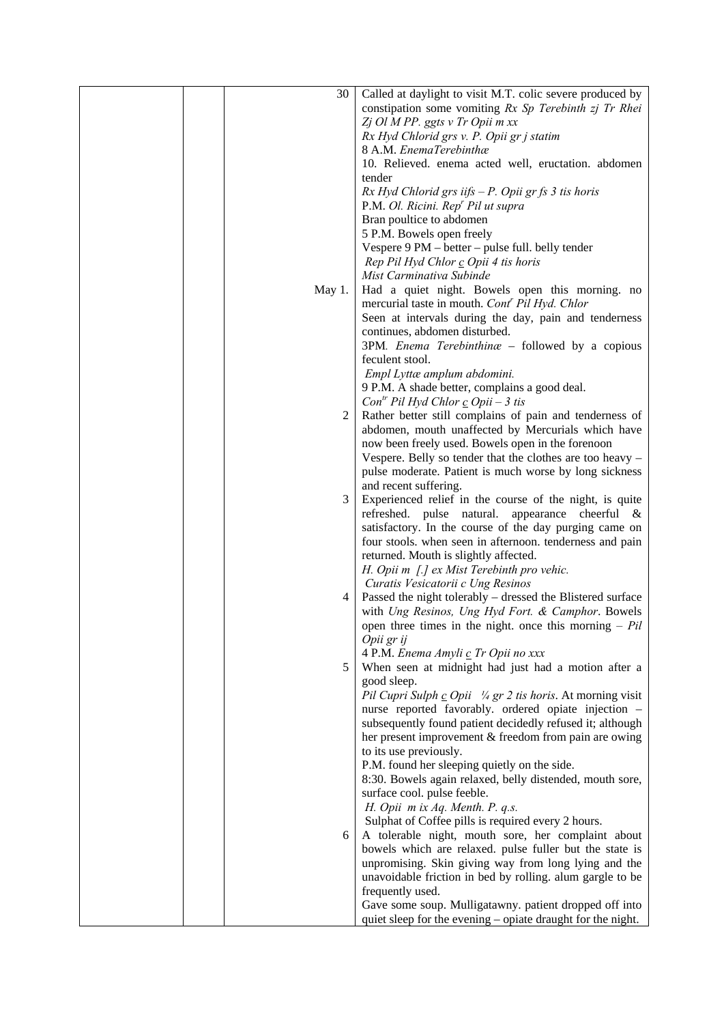| 30     | Called at daylight to visit M.T. colic severe produced by   |
|--------|-------------------------------------------------------------|
|        | constipation some vomiting Rx Sp Terebinth zj Tr Rhei       |
|        | Zj Ol M PP. ggts v Tr Opii m xx                             |
|        | Rx Hyd Chlorid grs v. P. Opii gr j statim                   |
|        | 8 A.M. EnemaTerebinthæ                                      |
|        | 10. Relieved. enema acted well, eructation. abdomen         |
|        | tender                                                      |
|        |                                                             |
|        | $Rx$ Hyd Chlorid grs iifs $-P$ . Opii gr fs 3 tis horis     |
|        | P.M. Ol. Ricini. Rep <sup>r</sup> Pil ut supra              |
|        | Bran poultice to abdomen                                    |
|        | 5 P.M. Bowels open freely                                   |
|        | Vespere 9 PM - better - pulse full. belly tender            |
|        | Rep Pil Hyd Chlor c Opii 4 tis horis                        |
|        | Mist Carminativa Subinde                                    |
| May 1. | Had a quiet night. Bowels open this morning. no             |
|        | mercurial taste in mouth. Cont <sup>r</sup> Pil Hyd. Chlor  |
|        | Seen at intervals during the day, pain and tenderness       |
|        | continues, abdomen disturbed.                               |
|        | 3PM. Enema Terebinthina - followed by a copious             |
|        | feculent stool.                                             |
|        |                                                             |
|        | Empl Lyttæ amplum abdomini.                                 |
|        | 9 P.M. A shade better, complains a good deal.               |
|        | $Con^{tr}$ Pil Hyd Chlor $\mathcal{L}$ Opii – 3 tis         |
| 2      | Rather better still complains of pain and tenderness of     |
|        | abdomen, mouth unaffected by Mercurials which have          |
|        | now been freely used. Bowels open in the forenoon           |
|        | Vespere. Belly so tender that the clothes are too heavy -   |
|        | pulse moderate. Patient is much worse by long sickness      |
|        | and recent suffering.                                       |
| 3      | Experienced relief in the course of the night, is quite     |
|        | refreshed. pulse natural. appearance cheerful &             |
|        | satisfactory. In the course of the day purging came on      |
|        | four stools. when seen in afternoon. tenderness and pain    |
|        | returned. Mouth is slightly affected.                       |
|        |                                                             |
|        | H. Opii m [.] ex Mist Terebinth pro vehic.                  |
|        | Curatis Vesicatorii c Ung Resinos                           |
| 4      | Passed the night tolerably – dressed the Blistered surface  |
|        | with Ung Resinos, Ung Hyd Fort. & Camphor. Bowels           |
|        | open three times in the night. once this morning $- Pil$    |
|        | Opii gr ij                                                  |
|        | 4 P.M. Enema Amyli c Tr Opii no xxx                         |
| 5      | When seen at midnight had just had a motion after a         |
|        | good sleep.                                                 |
|        | Pil Cupri Sulph c Opii 1/4 gr 2 tis horis. At morning visit |
|        | nurse reported favorably. ordered opiate injection -        |
|        | subsequently found patient decidedly refused it; although   |
|        | her present improvement & freedom from pain are owing       |
|        | to its use previously.                                      |
|        | P.M. found her sleeping quietly on the side.                |
|        |                                                             |
|        | 8:30. Bowels again relaxed, belly distended, mouth sore,    |
|        | surface cool. pulse feeble.                                 |
|        | H. Opii m ix Aq. Menth. P. q.s.                             |
|        | Sulphat of Coffee pills is required every 2 hours.          |
| 6      | A tolerable night, mouth sore, her complaint about          |
|        | bowels which are relaxed. pulse fuller but the state is     |
|        | unpromising. Skin giving way from long lying and the        |
|        | unavoidable friction in bed by rolling. alum gargle to be   |
|        | frequently used.                                            |
|        | Gave some soup. Mulligatawny. patient dropped off into      |
|        | quiet sleep for the evening – opiate draught for the night. |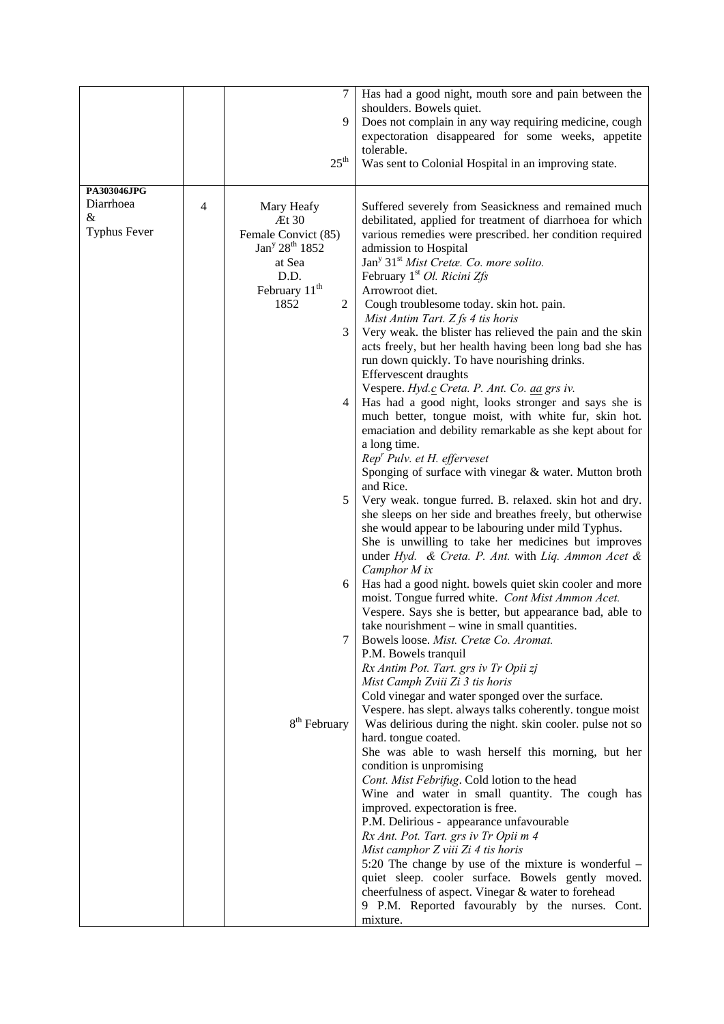|                     |   | 7                                      | Has had a good night, mouth sore and pain between the                                                     |
|---------------------|---|----------------------------------------|-----------------------------------------------------------------------------------------------------------|
|                     |   |                                        | shoulders. Bowels quiet.                                                                                  |
|                     |   | 9                                      | Does not complain in any way requiring medicine, cough                                                    |
|                     |   |                                        | expectoration disappeared for some weeks, appetite                                                        |
|                     |   |                                        | tolerable.                                                                                                |
|                     |   | $25^{\text{th}}$                       | Was sent to Colonial Hospital in an improving state.                                                      |
| PA303046JPG         |   |                                        |                                                                                                           |
| Diarrhoea           | 4 | Mary Heafy                             | Suffered severely from Seasickness and remained much                                                      |
| &                   |   | Æt 30                                  | debilitated, applied for treatment of diarrhoea for which                                                 |
| <b>Typhus Fever</b> |   | Female Convict (85)                    | various remedies were prescribed. her condition required                                                  |
|                     |   | Jan <sup>y</sup> 28 <sup>th</sup> 1852 | admission to Hospital                                                                                     |
|                     |   | at Sea                                 | Jan <sup>y</sup> 31 <sup>st</sup> Mist Cretæ. Co. more solito.                                            |
|                     |   | D.D.                                   | February 1 <sup>st</sup> Ol. Ricini Zfs                                                                   |
|                     |   | February 11 <sup>th</sup>              | Arrowroot diet.                                                                                           |
|                     |   | 1852<br>2                              | Cough troublesome today. skin hot. pain.<br>Mist Antim Tart. Z fs 4 tis horis                             |
|                     |   | 3                                      | Very weak. the blister has relieved the pain and the skin                                                 |
|                     |   |                                        | acts freely, but her health having been long bad she has                                                  |
|                     |   |                                        | run down quickly. To have nourishing drinks.                                                              |
|                     |   |                                        | Effervescent draughts                                                                                     |
|                     |   |                                        | Vespere. Hyd.c Creta. P. Ant. Co. aa grs iv.                                                              |
|                     |   | 4                                      | Has had a good night, looks stronger and says she is                                                      |
|                     |   |                                        | much better, tongue moist, with white fur, skin hot.                                                      |
|                     |   |                                        | emaciation and debility remarkable as she kept about for<br>a long time.                                  |
|                     |   |                                        | $Repr$ Pulv. et H. efferveset                                                                             |
|                     |   |                                        | Sponging of surface with vinegar & water. Mutton broth                                                    |
|                     |   |                                        | and Rice.                                                                                                 |
|                     |   | 5                                      | Very weak. tongue furred. B. relaxed. skin hot and dry.                                                   |
|                     |   |                                        | she sleeps on her side and breathes freely, but otherwise                                                 |
|                     |   |                                        | she would appear to be labouring under mild Typhus.                                                       |
|                     |   |                                        | She is unwilling to take her medicines but improves<br>under Hyd. & Creta. P. Ant. with Liq. Ammon Acet & |
|                     |   |                                        | Camphor M ix                                                                                              |
|                     |   | 6                                      | Has had a good night. bowels quiet skin cooler and more                                                   |
|                     |   |                                        | moist. Tongue furred white. Cont Mist Ammon Acet.                                                         |
|                     |   |                                        | Vespere. Says she is better, but appearance bad, able to                                                  |
|                     |   |                                        | take nourishment – wine in small quantities.                                                              |
|                     |   | 7                                      | Bowels loose. Mist. Cretæ Co. Aromat.<br>P.M. Bowels tranquil                                             |
|                     |   |                                        | Rx Antim Pot. Tart. grs iv Tr Opii zj                                                                     |
|                     |   |                                        | Mist Camph Zviii Zi 3 tis horis                                                                           |
|                     |   |                                        | Cold vinegar and water sponged over the surface.                                                          |
|                     |   |                                        | Vespere. has slept. always talks coherently. tongue moist                                                 |
|                     |   | 8 <sup>th</sup> February               | Was delirious during the night. skin cooler. pulse not so                                                 |
|                     |   |                                        | hard. tongue coated.<br>She was able to wash herself this morning, but her                                |
|                     |   |                                        | condition is unpromising                                                                                  |
|                     |   |                                        | Cont. Mist Febrifug. Cold lotion to the head                                                              |
|                     |   |                                        | Wine and water in small quantity. The cough has                                                           |
|                     |   |                                        | improved. expectoration is free.                                                                          |
|                     |   |                                        | P.M. Delirious - appearance unfavourable                                                                  |
|                     |   |                                        | Rx Ant. Pot. Tart. grs iv Tr Opii m 4<br>Mist camphor Z viii Zi 4 tis horis                               |
|                     |   |                                        | 5:20 The change by use of the mixture is wonderful $-$                                                    |
|                     |   |                                        | quiet sleep. cooler surface. Bowels gently moved.                                                         |
|                     |   |                                        | cheerfulness of aspect. Vinegar & water to forehead                                                       |
|                     |   |                                        | 9 P.M. Reported favourably by the nurses. Cont.                                                           |
|                     |   |                                        | mixture.                                                                                                  |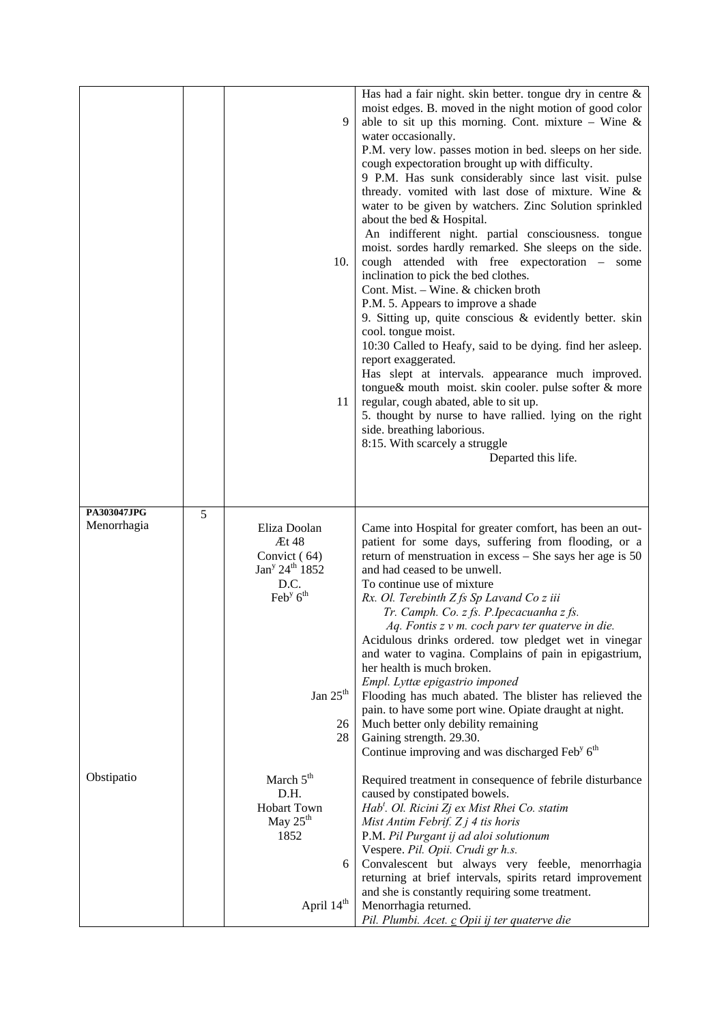|                            |   | 9<br>10.<br>11                                                                                                                                        | Has had a fair night. skin better, tongue dry in centre $\&$<br>moist edges. B. moved in the night motion of good color<br>able to sit up this morning. Cont. mixture – Wine &<br>water occasionally.<br>P.M. very low. passes motion in bed. sleeps on her side.<br>cough expectoration brought up with difficulty.<br>9 P.M. Has sunk considerably since last visit. pulse<br>thready. vomited with last dose of mixture. Wine &<br>water to be given by watchers. Zinc Solution sprinkled<br>about the bed & Hospital.<br>An indifferent night. partial consciousness. tongue<br>moist. sordes hardly remarked. She sleeps on the side.<br>cough attended with free expectoration - some<br>inclination to pick the bed clothes.<br>Cont. Mist. - Wine. & chicken broth<br>P.M. 5. Appears to improve a shade<br>9. Sitting up, quite conscious $\&$ evidently better. skin<br>cool. tongue moist.<br>10:30 Called to Heafy, said to be dying. find her asleep.<br>report exaggerated.<br>Has slept at intervals. appearance much improved.<br>tongue& mouth moist. skin cooler. pulse softer & more<br>regular, cough abated, able to sit up.<br>5. thought by nurse to have rallied. lying on the right<br>side. breathing laborious.<br>8:15. With scarcely a struggle<br>Departed this life. |
|----------------------------|---|-------------------------------------------------------------------------------------------------------------------------------------------------------|-----------------------------------------------------------------------------------------------------------------------------------------------------------------------------------------------------------------------------------------------------------------------------------------------------------------------------------------------------------------------------------------------------------------------------------------------------------------------------------------------------------------------------------------------------------------------------------------------------------------------------------------------------------------------------------------------------------------------------------------------------------------------------------------------------------------------------------------------------------------------------------------------------------------------------------------------------------------------------------------------------------------------------------------------------------------------------------------------------------------------------------------------------------------------------------------------------------------------------------------------------------------------------------------------------|
| PA303047JPG<br>Menorrhagia | 5 | Eliza Doolan<br>Æt 48<br>Convict (64)<br>Jan <sup>y</sup> 24 <sup>th</sup> 1852<br>D.C.<br>Feb <sup>y</sup> 6 <sup>th</sup><br>Jan $25th$<br>26<br>28 | Came into Hospital for greater comfort, has been an out-<br>patient for some days, suffering from flooding, or a<br>return of menstruation in excess $-$ She says her age is 50<br>and had ceased to be unwell.<br>To continue use of mixture<br>Rx. Ol. Terebinth Z fs Sp Lavand Co z iii<br>Tr. Camph. Co. z fs. P. Ipecacuanha z fs.<br>Aq. Fontis z v m. coch parv ter quaterve in die.<br>Acidulous drinks ordered. tow pledget wet in vinegar<br>and water to vagina. Complains of pain in epigastrium,<br>her health is much broken.<br>Empl. Lyttæ epigastrio imponed<br>Flooding has much abated. The blister has relieved the<br>pain. to have some port wine. Opiate draught at night.<br>Much better only debility remaining<br>Gaining strength. 29.30.<br>Continue improving and was discharged Feb <sup>y</sup> 6 <sup>th</sup>                                                                                                                                                                                                                                                                                                                                                                                                                                                      |
| Obstipatio                 |   | March 5 <sup>th</sup><br>D.H.<br><b>Hobart Town</b><br>May 25 <sup>th</sup><br>1852<br>6<br>April 14 <sup>th</sup>                                    | Required treatment in consequence of febrile disturbance<br>caused by constipated bowels.<br>Hab <sup>t</sup> . Ol. Ricini Zj ex Mist Rhei Co. statim<br>Mist Antim Febrif. $Zj$ 4 tis horis<br>P.M. Pil Purgant ij ad aloi solutionum<br>Vespere. Pil. Opii. Crudi gr h.s.<br>Convalescent but always very feeble, menorrhagia<br>returning at brief intervals, spirits retard improvement<br>and she is constantly requiring some treatment.<br>Menorrhagia returned.<br>Pil. Plumbi. Acet. c Opii ij ter quaterve die                                                                                                                                                                                                                                                                                                                                                                                                                                                                                                                                                                                                                                                                                                                                                                            |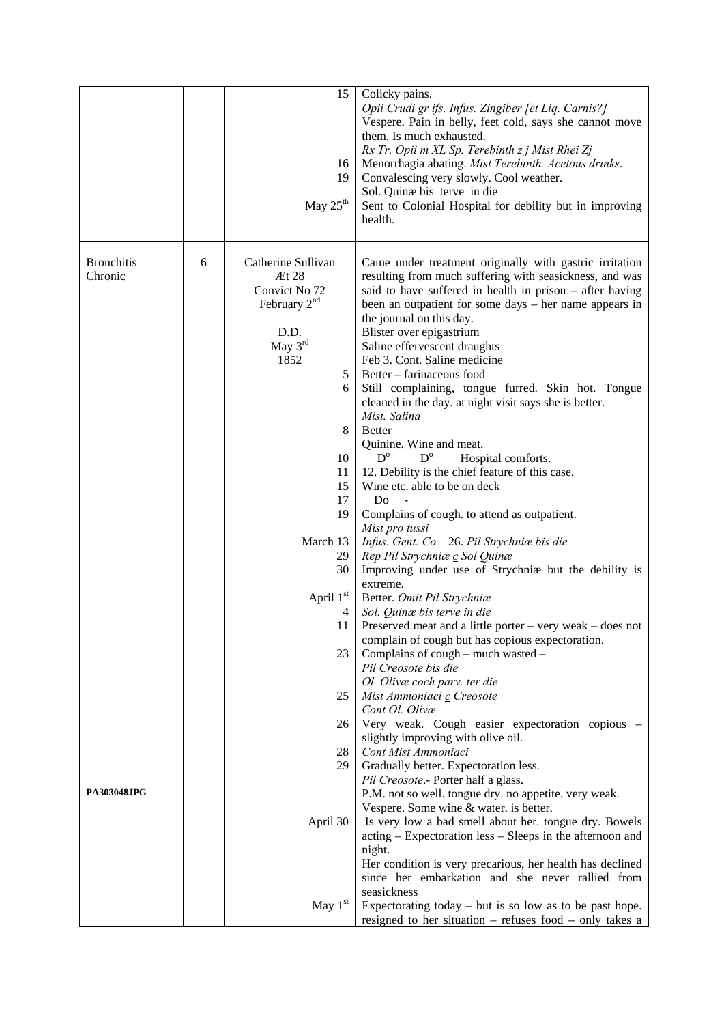|                              |   | 15<br>16<br>19<br>May 25 <sup>th</sup>                                                                                                                | Colicky pains.<br>Opii Crudi gr ifs. Infus. Zingiber [et Liq. Carnis?]<br>Vespere. Pain in belly, feet cold, says she cannot move<br>them. Is much exhausted.<br>Rx Tr. Opii m XL Sp. Terebinth z j Mist Rhei Zj<br>Menorrhagia abating. Mist Terebinth. Acetous drinks.<br>Convalescing very slowly. Cool weather.<br>Sol. Quinæ bis terve in die<br>Sent to Colonial Hospital for debility but in improving<br>health.                                                                                                                                                                                                                                                                                                                                                 |
|------------------------------|---|-------------------------------------------------------------------------------------------------------------------------------------------------------|--------------------------------------------------------------------------------------------------------------------------------------------------------------------------------------------------------------------------------------------------------------------------------------------------------------------------------------------------------------------------------------------------------------------------------------------------------------------------------------------------------------------------------------------------------------------------------------------------------------------------------------------------------------------------------------------------------------------------------------------------------------------------|
| <b>Bronchitis</b><br>Chronic | 6 | Catherine Sullivan<br>Et 28<br>Convict No 72<br>February 2 <sup>nd</sup><br>D.D.<br>May $3^{rd}$<br>1852<br>5<br>6<br>8<br>10<br>11<br>15<br>17<br>19 | Came under treatment originally with gastric irritation<br>resulting from much suffering with seasickness, and was<br>said to have suffered in health in prison $-$ after having<br>been an outpatient for some days – her name appears in<br>the journal on this day.<br>Blister over epigastrium<br>Saline effervescent draughts<br>Feb 3. Cont. Saline medicine<br>Better - farinaceous food<br>Still complaining, tongue furred. Skin hot. Tongue<br>cleaned in the day. at night visit says she is better.<br>Mist. Salina<br><b>Better</b><br>Quinine. Wine and meat.<br>$D^{\circ}$<br>$D^{\circ}$<br>Hospital comforts.<br>12. Debility is the chief feature of this case.<br>Wine etc. able to be on deck<br>Do<br>Complains of cough. to attend as outpatient. |
|                              |   | March 13<br>29<br>30                                                                                                                                  | Mist pro tussi<br>Infus. Gent. Co 26. Pil Strychniæ bis die<br>Rep Pil Strychniæ c Sol Quinæ<br>Improving under use of Strychniæ but the debility is                                                                                                                                                                                                                                                                                                                                                                                                                                                                                                                                                                                                                     |
|                              |   | April 1st<br>4<br>11<br>23                                                                                                                            | extreme.<br>Better. Omit Pil Strychniæ<br>Sol. Quinæ bis terve in die<br>Preserved meat and a little porter – very weak – does not<br>complain of cough but has copious expectoration.<br>Complains of cough – much wasted –<br>Pil Creosote bis die                                                                                                                                                                                                                                                                                                                                                                                                                                                                                                                     |
| <b>PA303048JPG</b>           |   | 25<br>26<br>28<br>29                                                                                                                                  | Ol. Olivæ coch parv. ter die<br>Mist Ammoniaci c Creosote<br>Cont Ol. Olivæ<br>Very weak. Cough easier expectoration copious -<br>slightly improving with olive oil.<br>Cont Mist Ammoniaci<br>Gradually better. Expectoration less.<br>Pil Creosote.- Porter half a glass.<br>P.M. not so well. tongue dry. no appetite. very weak.                                                                                                                                                                                                                                                                                                                                                                                                                                     |
|                              |   | April 30<br>May 1st                                                                                                                                   | Vespere. Some wine & water. is better.<br>Is very low a bad smell about her. tongue dry. Bowels<br>acting – Expectoration less – Sleeps in the afternoon and<br>night.<br>Her condition is very precarious, her health has declined<br>since her embarkation and she never rallied from<br>seasickness<br>Expectorating today $-$ but is so low as to be past hope.<br>resigned to her situation – refuses food – only takes a                                                                                                                                                                                                                                                                                                                                           |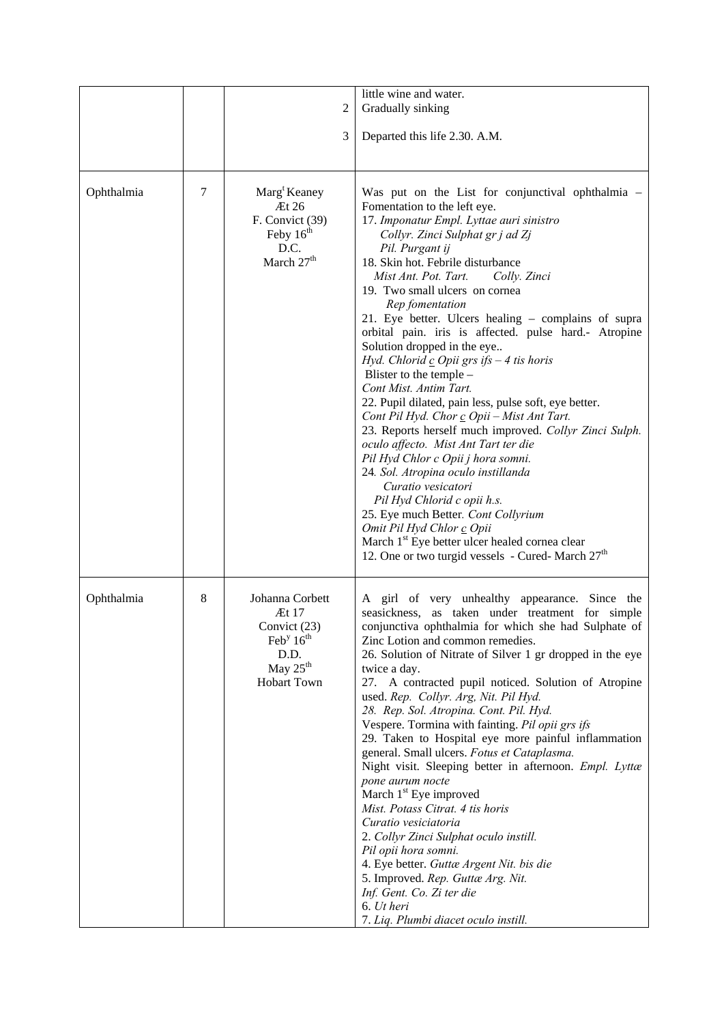|            |   | $\overline{c}$                                                                                                            | little wine and water.<br>Gradually sinking                                                                                                                                                                                                                                                                                                                                                                                                                                                                                                                                                                                                                                                                                                                                                                                                                                                                                                                                                                                                                                                                              |
|------------|---|---------------------------------------------------------------------------------------------------------------------------|--------------------------------------------------------------------------------------------------------------------------------------------------------------------------------------------------------------------------------------------------------------------------------------------------------------------------------------------------------------------------------------------------------------------------------------------------------------------------------------------------------------------------------------------------------------------------------------------------------------------------------------------------------------------------------------------------------------------------------------------------------------------------------------------------------------------------------------------------------------------------------------------------------------------------------------------------------------------------------------------------------------------------------------------------------------------------------------------------------------------------|
|            |   | 3                                                                                                                         | Departed this life 2.30. A.M.                                                                                                                                                                                                                                                                                                                                                                                                                                                                                                                                                                                                                                                                                                                                                                                                                                                                                                                                                                                                                                                                                            |
| Ophthalmia | 7 | Marg <sup>t</sup> Keaney<br>$\mathbb{E}$ t 26<br>F. Convict (39)<br>Feby $16th$<br>D.C.<br>March 27 <sup>th</sup>         | Was put on the List for conjunctival ophthalmia -<br>Fomentation to the left eye.<br>17. Imponatur Empl. Lyttae auri sinistro<br>Collyr. Zinci Sulphat gr j ad Zj<br>Pil. Purgant ij<br>18. Skin hot. Febrile disturbance<br>Mist Ant. Pot. Tart.<br>Colly. Zinci<br>19. Two small ulcers on cornea<br>Rep fomentation<br>21. Eye better. Ulcers healing – complains of supra<br>orbital pain. iris is affected. pulse hard.- Atropine<br>Solution dropped in the eye<br>Hyd. Chlorid $c$ Opii grs ifs $-4$ tis horis<br>Blister to the temple -<br>Cont Mist. Antim Tart.<br>22. Pupil dilated, pain less, pulse soft, eye better.<br>Cont Pil Hyd. Chor c Opii - Mist Ant Tart.<br>23. Reports herself much improved. Collyr Zinci Sulph.<br>oculo affecto. Mist Ant Tart ter die<br>Pil Hyd Chlor c Opii j hora somni.<br>24. Sol. Atropina oculo instillanda<br>Curatio vesicatori<br>Pil Hyd Chlorid c opii h.s.<br>25. Eye much Better. Cont Collyrium<br>Omit Pil Hyd Chlor c Opii<br>March 1 <sup>st</sup> Eye better ulcer healed cornea clear<br>12. One or two turgid vessels - Cured- March 27 <sup>th</sup> |
| Ophthalmia | 8 | Johanna Corbett<br>Æt 17<br>Convict (23)<br>Feb <sup>y</sup> $16th$<br>D.D.<br>May $25^{\text{th}}$<br><b>Hobart Town</b> | A girl of very unhealthy appearance. Since the<br>seasickness, as taken under treatment for simple<br>conjunctiva ophthalmia for which she had Sulphate of<br>Zinc Lotion and common remedies.<br>26. Solution of Nitrate of Silver 1 gr dropped in the eye<br>twice a day.<br>27. A contracted pupil noticed. Solution of Atropine<br>used. Rep. Collyr. Arg, Nit. Pil Hyd.<br>28. Rep. Sol. Atropina. Cont. Pil. Hyd.<br>Vespere. Tormina with fainting. Pil opii grs ifs<br>29. Taken to Hospital eye more painful inflammation<br>general. Small ulcers. Fotus et Cataplasma.<br>Night visit. Sleeping better in afternoon. Empl. Lyttæ<br>pone aurum nocte<br>March 1 <sup>st</sup> Eye improved<br>Mist. Potass Citrat. 4 tis horis<br>Curatio vesiciatoria<br>2. Collyr Zinci Sulphat oculo instill.<br>Pil opii hora somni.<br>4. Eye better. Guttæ Argent Nit. bis die<br>5. Improved. Rep. Guttæ Arg. Nit.<br>Inf. Gent. Co. Zi ter die<br>6. Ut heri<br>7. Liq. Plumbi diacet oculo instill.                                                                                                                  |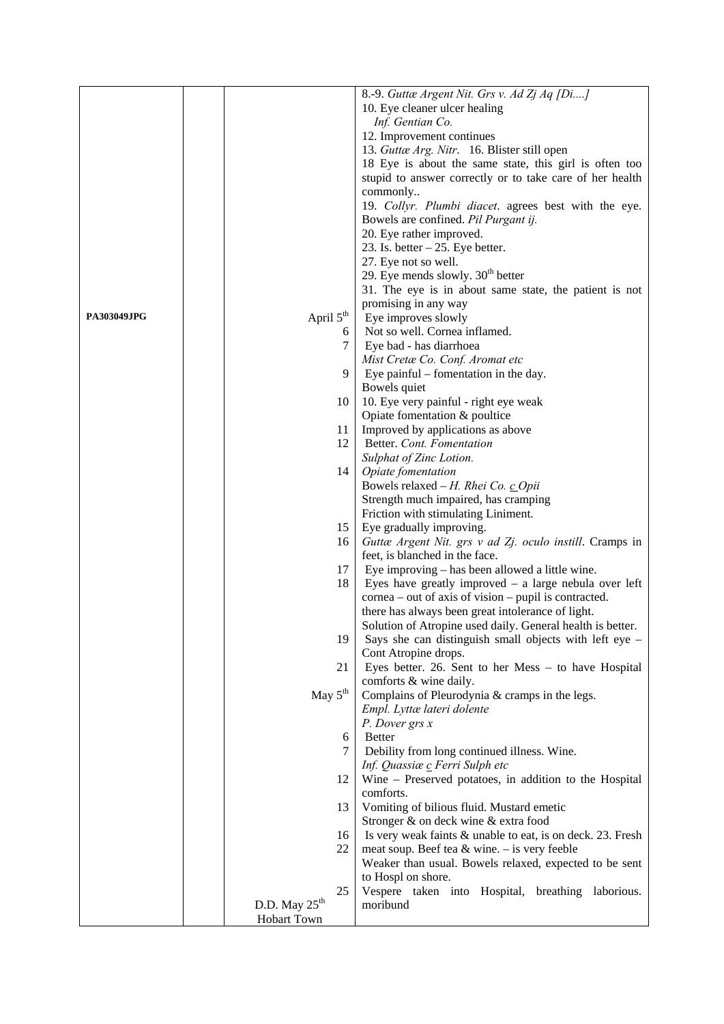|                    |                           |    | 8.-9. Guttæ Argent Nit. Grs v. Ad Zj Aq [Di]               |
|--------------------|---------------------------|----|------------------------------------------------------------|
|                    |                           |    | 10. Eye cleaner ulcer healing                              |
|                    |                           |    | Inf. Gentian Co.                                           |
|                    |                           |    |                                                            |
|                    |                           |    | 12. Improvement continues                                  |
|                    |                           |    | 13. Guttæ Arg. Nitr. 16. Blister still open                |
|                    |                           |    | 18 Eye is about the same state, this girl is often too     |
|                    |                           |    | stupid to answer correctly or to take care of her health   |
|                    |                           |    | commonly                                                   |
|                    |                           |    | 19. Collyr. Plumbi diacet. agrees best with the eye.       |
|                    |                           |    | Bowels are confined. Pil Purgant ij.                       |
|                    |                           |    | 20. Eye rather improved.                                   |
|                    |                           |    | 23. Is. better $-25$ . Eye better.                         |
|                    |                           |    | 27. Eye not so well.                                       |
|                    |                           |    | 29. Eye mends slowly. $30th$ better                        |
|                    |                           |    | 31. The eye is in about same state, the patient is not     |
|                    |                           |    | promising in any way                                       |
| <b>PA303049JPG</b> | April $5^{\text{th}}$     |    | Eye improves slowly                                        |
|                    |                           | 6  | Not so well. Cornea inflamed.                              |
|                    |                           | 7  | Eye bad - has diarrhoea                                    |
|                    |                           |    | Mist Cretæ Co. Conf. Aromat etc                            |
|                    |                           | 9  | Eye painful $-$ fomentation in the day.                    |
|                    |                           |    | Bowels quiet                                               |
|                    |                           | 10 | 10. Eye very painful - right eye weak                      |
|                    |                           |    | Opiate fomentation & poultice                              |
|                    |                           | 11 | Improved by applications as above                          |
|                    |                           | 12 | Better. Cont. Fomentation                                  |
|                    |                           |    | Sulphat of Zinc Lotion.                                    |
|                    |                           | 14 | Opiate fomentation                                         |
|                    |                           |    | Bowels relaxed - H. Rhei Co. c Opii                        |
|                    |                           |    | Strength much impaired, has cramping                       |
|                    |                           |    | Friction with stimulating Liniment.                        |
|                    |                           | 15 | Eye gradually improving.                                   |
|                    |                           | 16 | Guttæ Argent Nit. grs v ad Zj. oculo instill. Cramps in    |
|                    |                           |    | feet, is blanched in the face.                             |
|                    |                           | 17 | Eye improving – has been allowed a little wine.            |
|                    |                           | 18 | Eyes have greatly improved $-$ a large nebula over left    |
|                    |                           |    | $cornea - out of axis of vision - pupil is contracted.$    |
|                    |                           |    | there has always been great intolerance of light.          |
|                    |                           |    | Solution of Atropine used daily. General health is better. |
|                    |                           | 19 | Says she can distinguish small objects with left eye $-$   |
|                    |                           |    | Cont Atropine drops.                                       |
|                    |                           | 21 | Eyes better. 26. Sent to her Mess - to have Hospital       |
|                    |                           |    | comforts & wine daily.                                     |
|                    | May $5^{\text{th}}$       |    | Complains of Pleurodynia & cramps in the legs.             |
|                    |                           |    | Empl. Lyttæ lateri dolente                                 |
|                    |                           |    | P. Dover grs x                                             |
|                    |                           | 6  | <b>Better</b>                                              |
|                    |                           | 7  | Debility from long continued illness. Wine.                |
|                    |                           |    | Inf. Quassiæ c Ferri Sulph etc                             |
|                    |                           | 12 | Wine – Preserved potatoes, in addition to the Hospital     |
|                    |                           |    | comforts.                                                  |
|                    |                           | 13 | Vomiting of bilious fluid. Mustard emetic                  |
|                    |                           |    | Stronger & on deck wine & extra food                       |
|                    |                           | 16 | Is very weak faints & unable to eat, is on deck. 23. Fresh |
|                    |                           | 22 | meat soup. Beef tea $&$ wine. - is very feeble             |
|                    |                           |    | Weaker than usual. Bowels relaxed, expected to be sent     |
|                    |                           |    | to Hospl on shore.                                         |
|                    |                           | 25 | Vespere taken into Hospital, breathing laborious.          |
|                    | D.D. May $25^{\text{th}}$ |    | moribund                                                   |
|                    | Hobart Town               |    |                                                            |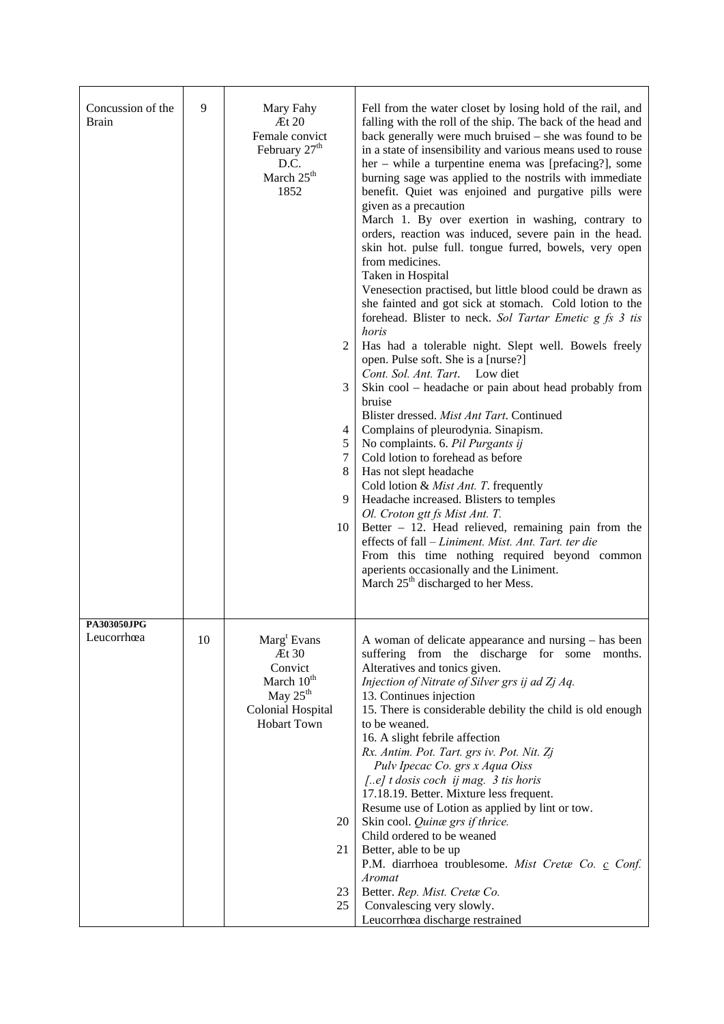| Concussion of the<br><b>Brain</b> | 9  | Mary Fahy<br>Et 20<br>Female convict<br>February 27 <sup>th</sup><br>D.C.<br>March 25 <sup>th</sup><br>1852<br>$\overline{2}$<br>3<br>4<br>5<br>7<br>$\,8\,$<br>9<br>10 | Fell from the water closet by losing hold of the rail, and<br>falling with the roll of the ship. The back of the head and<br>back generally were much bruised - she was found to be<br>in a state of insensibility and various means used to rouse<br>her – while a turpentine enema was [prefacing?], some<br>burning sage was applied to the nostrils with immediate<br>benefit. Quiet was enjoined and purgative pills were<br>given as a precaution<br>March 1. By over exertion in washing, contrary to<br>orders, reaction was induced, severe pain in the head.<br>skin hot. pulse full. tongue furred, bowels, very open<br>from medicines.<br>Taken in Hospital<br>Venesection practised, but little blood could be drawn as<br>she fainted and got sick at stomach. Cold lotion to the<br>forehead. Blister to neck. Sol Tartar Emetic g fs 3 tis<br>horis<br>Has had a tolerable night. Slept well. Bowels freely<br>open. Pulse soft. She is a [nurse?]<br>Cont. Sol. Ant. Tart. Low diet<br>Skin cool – headache or pain about head probably from<br>bruise<br>Blister dressed. Mist Ant Tart. Continued<br>Complains of pleurodynia. Sinapism.<br>No complaints. 6. Pil Purgants ij<br>Cold lotion to forehead as before<br>Has not slept headache<br>Cold lotion & Mist Ant. T. frequently<br>Headache increased. Blisters to temples<br>Ol. Croton gtt fs Mist Ant. T.<br>Better - 12. Head relieved, remaining pain from the<br>effects of fall - Liniment. Mist. Ant. Tart. ter die<br>From this time nothing required beyond common<br>aperients occasionally and the Liniment.<br>March 25 <sup>th</sup> discharged to her Mess. |
|-----------------------------------|----|-------------------------------------------------------------------------------------------------------------------------------------------------------------------------|------------------------------------------------------------------------------------------------------------------------------------------------------------------------------------------------------------------------------------------------------------------------------------------------------------------------------------------------------------------------------------------------------------------------------------------------------------------------------------------------------------------------------------------------------------------------------------------------------------------------------------------------------------------------------------------------------------------------------------------------------------------------------------------------------------------------------------------------------------------------------------------------------------------------------------------------------------------------------------------------------------------------------------------------------------------------------------------------------------------------------------------------------------------------------------------------------------------------------------------------------------------------------------------------------------------------------------------------------------------------------------------------------------------------------------------------------------------------------------------------------------------------------------------------------------------------------------------------------------------------------------------------------|
| PA303050JPG<br>Leucorrhœa         | 10 | $\text{Marg}^{\text{t}}$ Evans<br>Et 30<br>Convict<br>March 10 <sup>th</sup><br>May $25th$<br><b>Colonial Hospital</b><br><b>Hobart Town</b><br>20<br>21<br>23<br>25    | A woman of delicate appearance and nursing – has been<br>suffering from the discharge for some months.<br>Alteratives and tonics given.<br>Injection of Nitrate of Silver grs ij ad Zj Aq.<br>13. Continues injection<br>15. There is considerable debility the child is old enough<br>to be weaned.<br>16. A slight febrile affection<br>Rx. Antim. Pot. Tart. grs iv. Pot. Nit. Zj<br>Pulv Ipecac Co. grs x Aqua Oiss<br>[e] t dosis coch ij mag. 3 tis horis<br>17.18.19. Better. Mixture less frequent.<br>Resume use of Lotion as applied by lint or tow.<br>Skin cool. Quinæ grs if thrice.<br>Child ordered to be weaned<br>Better, able to be up<br>P.M. diarrhoea troublesome. Mist Cretæ Co. c Conf.<br>Aromat<br>Better. Rep. Mist. Cretæ Co.<br>Convalescing very slowly.<br>Leucorrhœa discharge restrained                                                                                                                                                                                                                                                                                                                                                                                                                                                                                                                                                                                                                                                                                                                                                                                                                             |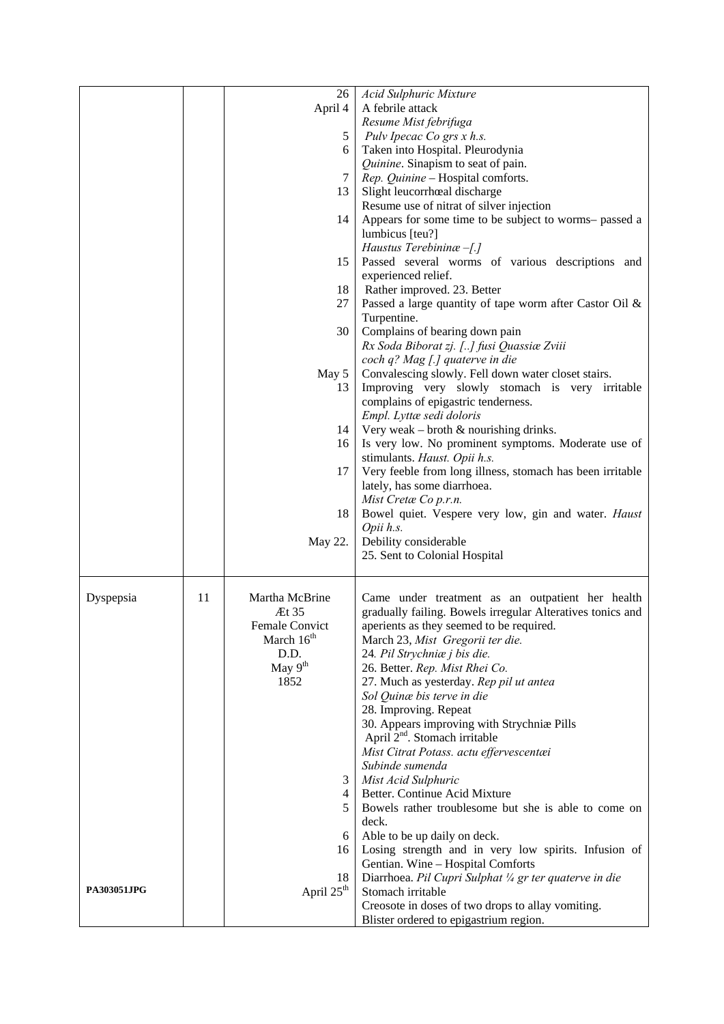|                    |    | 26                     | Acid Sulphuric Mixture                                     |
|--------------------|----|------------------------|------------------------------------------------------------|
|                    |    | April 4                | A febrile attack                                           |
|                    |    |                        | Resume Mist febrifuga                                      |
|                    |    |                        |                                                            |
|                    |    | 5                      | Pulv Ipecac Co grs x h.s.                                  |
|                    |    | 6                      | Taken into Hospital. Pleurodynia                           |
|                    |    |                        | Quinine. Sinapism to seat of pain.                         |
|                    |    | 7                      | Rep. Quinine - Hospital comforts.                          |
|                    |    | 13                     | Slight leucorrhœal discharge                               |
|                    |    |                        | Resume use of nitrat of silver injection                   |
|                    |    | 14                     | Appears for some time to be subject to worms- passed a     |
|                    |    |                        | lumbicus [teu?]                                            |
|                    |    |                        | Haustus Terebining $-[.]$                                  |
|                    |    | 15                     | Passed several worms of various descriptions and           |
|                    |    |                        | experienced relief.                                        |
|                    |    | 18                     | Rather improved. 23. Better                                |
|                    |    | 27                     | Passed a large quantity of tape worm after Castor Oil &    |
|                    |    |                        | Turpentine.                                                |
|                    |    | 30                     | Complains of bearing down pain                             |
|                    |    |                        | Rx Soda Biborat zj. [] fusi Quassiæ Zviii                  |
|                    |    |                        |                                                            |
|                    |    |                        | coch q? Mag [.] quaterve in die                            |
|                    |    | May 5                  | Convalescing slowly. Fell down water closet stairs.        |
|                    |    | 13                     | Improving very slowly stomach is very irritable            |
|                    |    |                        | complains of epigastric tenderness.                        |
|                    |    |                        | Empl. Lyttæ sedi doloris                                   |
|                    |    | 14                     | Very weak – broth $\&$ nourishing drinks.                  |
|                    |    | 16                     | Is very low. No prominent symptoms. Moderate use of        |
|                    |    |                        | stimulants. Haust. Opii h.s.                               |
|                    |    | 17                     | Very feeble from long illness, stomach has been irritable  |
|                    |    |                        | lately, has some diarrhoea.                                |
|                    |    |                        | Mist Cretæ Co p.r.n.                                       |
|                    |    | 18                     | Bowel quiet. Vespere very low, gin and water. Haust        |
|                    |    |                        | Opii h.s.                                                  |
|                    |    | May 22.                | Debility considerable                                      |
|                    |    |                        | 25. Sent to Colonial Hospital                              |
|                    |    |                        |                                                            |
|                    |    |                        |                                                            |
| Dyspepsia          | 11 | Martha McBrine         | Came under treatment as an outpatient her health           |
|                    |    | Æt 35                  | gradually failing. Bowels irregular Alteratives tonics and |
|                    |    | <b>Female Convict</b>  | aperients as they seemed to be required.                   |
|                    |    | March $16^{\text{th}}$ | March 23, Mist Gregorii ter die.                           |
|                    |    | D.D.                   | 24. Pil Strychniæ j bis die.                               |
|                    |    | May $9th$              | 26. Better. Rep. Mist Rhei Co.                             |
|                    |    | 1852                   | 27. Much as yesterday. Rep pil ut antea                    |
|                    |    |                        | Sol Quinæ bis terve in die                                 |
|                    |    |                        | 28. Improving. Repeat                                      |
|                    |    |                        | 30. Appears improving with Strychniæ Pills                 |
|                    |    |                        | April 2 <sup>nd</sup> . Stomach irritable                  |
|                    |    |                        | Mist Citrat Potass. actu effervescentæi                    |
|                    |    |                        |                                                            |
|                    |    |                        | Subinde sumenda                                            |
|                    |    | 3                      | Mist Acid Sulphuric                                        |
|                    |    | 4                      | Better. Continue Acid Mixture                              |
|                    |    | 5                      | Bowels rather troublesome but she is able to come on       |
|                    |    |                        | deck.                                                      |
|                    |    | 6                      | Able to be up daily on deck.                               |
|                    |    | 16                     | Losing strength and in very low spirits. Infusion of       |
|                    |    |                        | Gentian. Wine - Hospital Comforts                          |
|                    |    | 18                     | Diarrhoea. Pil Cupri Sulphat 1/4 gr ter quaterve in die    |
| <b>PA303051JPG</b> |    | April 25 <sup>th</sup> | Stomach irritable                                          |
|                    |    |                        | Creosote in doses of two drops to allay vomiting.          |
|                    |    |                        | Blister ordered to epigastrium region.                     |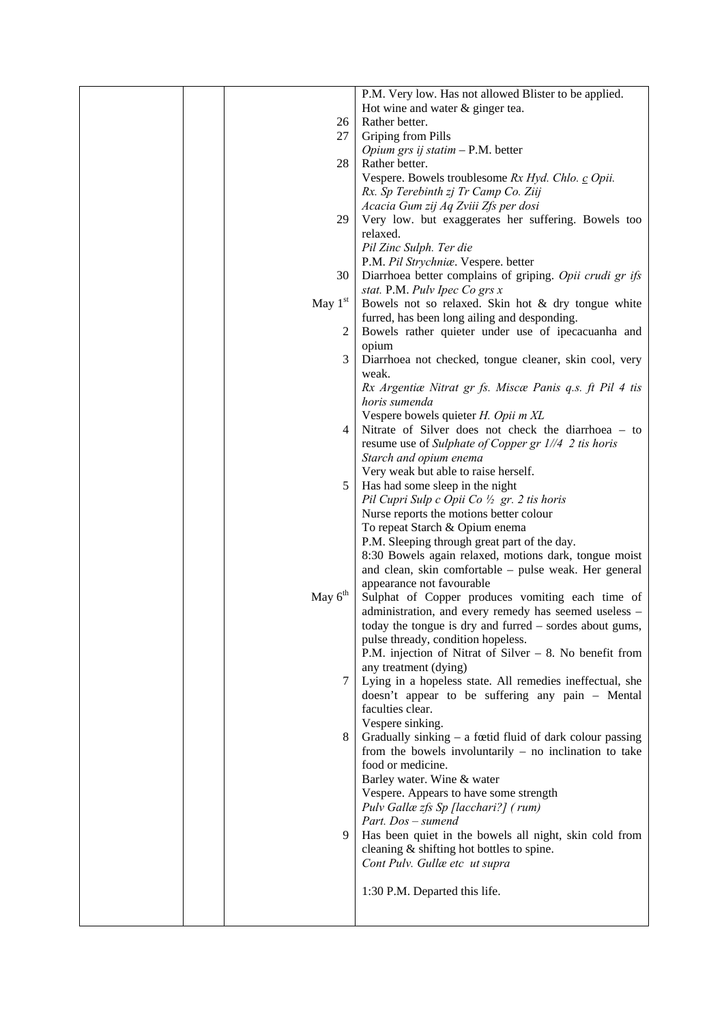|  |           | P.M. Very low. Has not allowed Blister to be applied.     |
|--|-----------|-----------------------------------------------------------|
|  |           | Hot wine and water & ginger tea.                          |
|  | 26        | Rather better.                                            |
|  | 27        | Griping from Pills                                        |
|  |           | Opium grs ij statim $-$ P.M. better                       |
|  | 28        | Rather better.                                            |
|  |           | Vespere. Bowels troublesome Rx Hyd. Chlo. c Opii.         |
|  |           | Rx. Sp Terebinth zj Tr Camp Co. Ziij                      |
|  |           | Acacia Gum zij Aq Zviii Zfs per dosi                      |
|  | 29        | Very low. but exaggerates her suffering. Bowels too       |
|  |           | relaxed.                                                  |
|  |           | Pil Zinc Sulph. Ter die                                   |
|  |           | P.M. Pil Strychniæ. Vespere. better                       |
|  | 30        | Diarrhoea better complains of griping. Opii crudi gr ifs  |
|  |           |                                                           |
|  |           | stat. P.M. Pulv Ipec Co grs x                             |
|  | May $1st$ | Bowels not so relaxed. Skin hot & dry tongue white        |
|  |           | furred, has been long ailing and desponding.              |
|  | 2         | Bowels rather quieter under use of ipecacuanha and        |
|  |           | opium                                                     |
|  | 3         | Diarrhoea not checked, tongue cleaner, skin cool, very    |
|  |           | weak.                                                     |
|  |           | Rx Argentiæ Nitrat gr fs. Miscæ Panis q.s. ft Pil 4 tis   |
|  |           | horis sumenda                                             |
|  |           | Vespere bowels quieter H. Opii m XL                       |
|  | 4         | Nitrate of Silver does not check the diarrhoea - to       |
|  |           | resume use of Sulphate of Copper gr 1//4 2 tis horis      |
|  |           | Starch and opium enema                                    |
|  |           | Very weak but able to raise herself.                      |
|  | 5         | Has had some sleep in the night                           |
|  |           | Pil Cupri Sulp c Opii Co $\frac{1}{2}$ gr. 2 tis horis    |
|  |           | Nurse reports the motions better colour                   |
|  |           | To repeat Starch & Opium enema                            |
|  |           | P.M. Sleeping through great part of the day.              |
|  |           | 8:30 Bowels again relaxed, motions dark, tongue moist     |
|  |           | and clean, skin comfortable – pulse weak. Her general     |
|  |           | appearance not favourable                                 |
|  | May $6th$ |                                                           |
|  |           | Sulphat of Copper produces vomiting each time of          |
|  |           | administration, and every remedy has seemed useless -     |
|  |           | today the tongue is dry and furred - sordes about gums,   |
|  |           | pulse thready, condition hopeless.                        |
|  |           | P.M. injection of Nitrat of Silver $-8$ . No benefit from |
|  |           | any treatment (dying)                                     |
|  | 7         | Lying in a hopeless state. All remedies ineffectual, she  |
|  |           | doesn't appear to be suffering any pain - Mental          |
|  |           | faculties clear.                                          |
|  |           | Vespere sinking.                                          |
|  | 8         | Gradually sinking - a fœtid fluid of dark colour passing  |
|  |           | from the bowels involuntarily $-$ no inclination to take  |
|  |           | food or medicine.                                         |
|  |           | Barley water. Wine & water                                |
|  |           | Vespere. Appears to have some strength                    |
|  |           | Pulv Gallæ zfs Sp [lacchari?] (rum)                       |
|  |           | Part. Dos – sumend                                        |
|  | 9         | Has been quiet in the bowels all night, skin cold from    |
|  |           | cleaning & shifting hot bottles to spine.                 |
|  |           | Cont Pulv. Gullæ etc ut supra                             |
|  |           |                                                           |
|  |           | 1:30 P.M. Departed this life.                             |
|  |           |                                                           |
|  |           |                                                           |
|  |           |                                                           |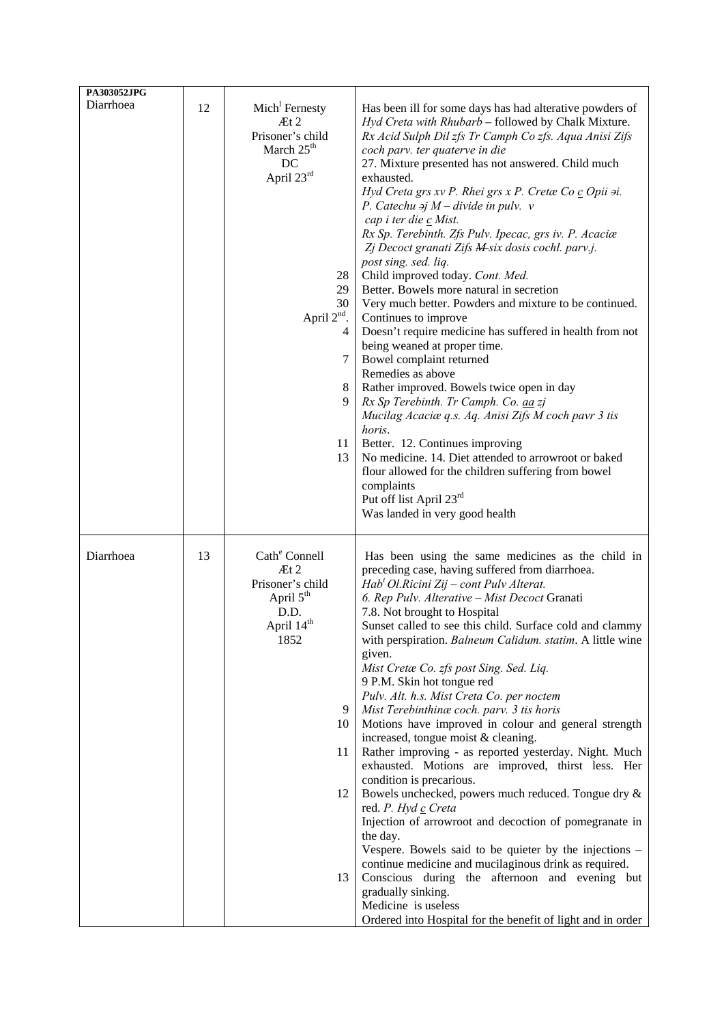| PA303052JPG |    |                                                                                                                                                                         |                                                                                                                                                                                                                                                                                                                                                                                                                                                                                                                                                                                                                                                                                                                                                                                                                                                                                                                                                                                                                                                                                                                                                                                                                                                                      |
|-------------|----|-------------------------------------------------------------------------------------------------------------------------------------------------------------------------|----------------------------------------------------------------------------------------------------------------------------------------------------------------------------------------------------------------------------------------------------------------------------------------------------------------------------------------------------------------------------------------------------------------------------------------------------------------------------------------------------------------------------------------------------------------------------------------------------------------------------------------------------------------------------------------------------------------------------------------------------------------------------------------------------------------------------------------------------------------------------------------------------------------------------------------------------------------------------------------------------------------------------------------------------------------------------------------------------------------------------------------------------------------------------------------------------------------------------------------------------------------------|
| Diarrhoea   | 12 | Mich <sup>1</sup> Fernesty<br>At 2<br>Prisoner's child<br>March $25th$<br>DC<br>April 23rd<br>28<br>29<br>30<br>April 2 <sup>nd</sup> .<br>4<br>7<br>8<br>9<br>11<br>13 | Has been ill for some days has had alterative powders of<br>Hyd Creta with Rhubarb - followed by Chalk Mixture.<br>Rx Acid Sulph Dil zfs Tr Camph Co zfs. Aqua Anisi Zifs<br>coch parv. ter quaterve in die<br>27. Mixture presented has not answered. Child much<br>exhausted.<br>Hyd Creta grs xv P. Rhei grs x P. Cretæ Co c Opii si.<br>P. Catechu $\exists j \ M - \text{divide in } pulv.$ v<br>cap i ter die c Mist.<br>Rx Sp. Terebinth. Zfs Pulv. Ipecac, grs iv. P. Acaciæ<br>Zj Decoct granati Zifs M-six dosis cochl. parv.j.<br>post sing. sed. liq.<br>Child improved today. Cont. Med.<br>Better. Bowels more natural in secretion<br>Very much better. Powders and mixture to be continued.<br>Continues to improve<br>Doesn't require medicine has suffered in health from not<br>being weaned at proper time.<br>Bowel complaint returned<br>Remedies as above<br>Rather improved. Bowels twice open in day<br>Rx Sp Terebinth. Tr Camph. Co. aa zj<br>Mucilag Acaciæ q.s. Aq. Anisi Zifs M coch pavr 3 tis<br>horis.<br>Better. 12. Continues improving<br>No medicine. 14. Diet attended to arrowroot or baked<br>flour allowed for the children suffering from bowel<br>complaints<br>Put off list April 23rd<br>Was landed in very good health |
| Diarrhoea   | 13 | Cath <sup>e</sup> Connell<br>Et 2<br>Prisoner's child<br>April $5th$<br>D.D.<br>April 14 <sup>th</sup><br>1852<br>9<br>10<br>11<br>12<br>13                             | Has been using the same medicines as the child in<br>preceding case, having suffered from diarrhoea.<br>$Habt Ol.Ricini Zij - cont Pulv Alterat.$<br>6. Rep Pulv. Alterative - Mist Decoct Granati<br>7.8. Not brought to Hospital<br>Sunset called to see this child. Surface cold and clammy<br>with perspiration. Balneum Calidum. statim. A little wine<br>given.<br>Mist Cretæ Co. zfs post Sing. Sed. Liq.<br>9 P.M. Skin hot tongue red<br>Pulv. Alt. h.s. Mist Creta Co. per noctem<br>Mist Terebinthinæ coch. parv. 3 tis horis<br>Motions have improved in colour and general strength<br>increased, tongue moist & cleaning.<br>Rather improving - as reported yesterday. Night. Much<br>exhausted. Motions are improved, thirst less. Her<br>condition is precarious.<br>Bowels unchecked, powers much reduced. Tongue dry &<br>red. P. Hyd c Creta<br>Injection of arrowroot and decoction of pomegranate in<br>the day.<br>Vespere. Bowels said to be quieter by the injections –<br>continue medicine and mucilaginous drink as required.<br>Conscious during the afternoon and evening but<br>gradually sinking.<br>Medicine is useless<br>Ordered into Hospital for the benefit of light and in order                                               |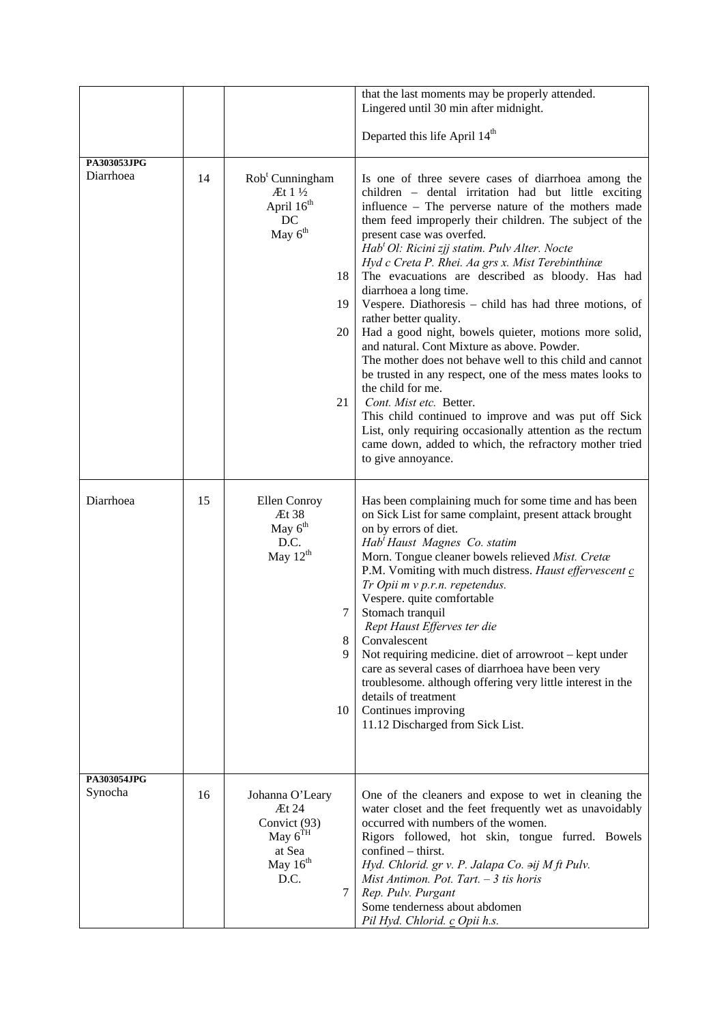|                          |    |                                                                                                                      | that the last moments may be properly attended.                                                                                                                                                                                                                                                                                                                                                                                                                                                                                                                                                                                                                                                                                                                                                                                                                                                                                                                                                                                     |  |  |  |  |
|--------------------------|----|----------------------------------------------------------------------------------------------------------------------|-------------------------------------------------------------------------------------------------------------------------------------------------------------------------------------------------------------------------------------------------------------------------------------------------------------------------------------------------------------------------------------------------------------------------------------------------------------------------------------------------------------------------------------------------------------------------------------------------------------------------------------------------------------------------------------------------------------------------------------------------------------------------------------------------------------------------------------------------------------------------------------------------------------------------------------------------------------------------------------------------------------------------------------|--|--|--|--|
|                          |    |                                                                                                                      | Lingered until 30 min after midnight.                                                                                                                                                                                                                                                                                                                                                                                                                                                                                                                                                                                                                                                                                                                                                                                                                                                                                                                                                                                               |  |  |  |  |
|                          |    |                                                                                                                      | Departed this life April 14 <sup>th</sup>                                                                                                                                                                                                                                                                                                                                                                                                                                                                                                                                                                                                                                                                                                                                                                                                                                                                                                                                                                                           |  |  |  |  |
| PA303053JPG<br>Diarrhoea | 14 | $Robt$ Cunningham<br>$\mathbb{H}1\mathcal{V}_2$<br>April 16 <sup>th</sup><br>DC<br>May $6th$<br>18<br>19<br>20<br>21 | Is one of three severe cases of diarrhoea among the<br>children - dental irritation had but little exciting<br>influence - The perverse nature of the mothers made<br>them feed improperly their children. The subject of the<br>present case was overfed.<br>Hab <sup>t</sup> Ol: Ricini zjj statim. Pulv Alter. Nocte<br>Hyd c Creta P. Rhei. Aa grs x. Mist Terebinthinæ<br>The evacuations are described as bloody. Has had<br>diarrhoea a long time.<br>Vespere. Diathoresis – child has had three motions, of<br>rather better quality.<br>Had a good night, bowels quieter, motions more solid,<br>and natural. Cont Mixture as above. Powder.<br>The mother does not behave well to this child and cannot<br>be trusted in any respect, one of the mess mates looks to<br>the child for me.<br>Cont. Mist etc. Better.<br>This child continued to improve and was put off Sick<br>List, only requiring occasionally attention as the rectum<br>came down, added to which, the refractory mother tried<br>to give annoyance. |  |  |  |  |
| Diarrhoea                | 15 | Ellen Conroy<br>$\mathbb{H}38$<br>May $6th$<br>D.C.<br>May 12 <sup>th</sup><br>7<br>8<br>9<br>10                     | Has been complaining much for some time and has been<br>on Sick List for same complaint, present attack brought<br>on by errors of diet.<br>Hab' Haust Magnes Co. statim<br>Morn. Tongue cleaner bowels relieved Mist. Cretæ<br>P.M. Vomiting with much distress. Haust effervescent c<br>Tr Opii m v p.r.n. repetendus.<br>Vespere. quite comfortable<br>Stomach tranquil<br>Rept Haust Efferves ter die<br>Convalescent<br>Not requiring medicine. diet of arrowroot - kept under<br>care as several cases of diarrhoea have been very<br>troublesome. although offering very little interest in the<br>details of treatment<br>Continues improving<br>11.12 Discharged from Sick List.                                                                                                                                                                                                                                                                                                                                           |  |  |  |  |
| PA303054JPG<br>Synocha   | 16 | Johanna O'Leary<br>Æt 24<br>Convict (93)<br>May $6^{TH}$<br>at Sea<br>May 16 <sup>th</sup><br>D.C.<br>7              | One of the cleaners and expose to wet in cleaning the<br>water closet and the feet frequently wet as unavoidably<br>occurred with numbers of the women.<br>Rigors followed, hot skin, tongue furred. Bowels<br>confined - thirst.<br>Hyd. Chlorid. gr v. P. Jalapa Co. aij M ft Pulv.<br>Mist Antimon. Pot. Tart. $-3$ tis horis<br>Rep. Pulv. Purgant<br>Some tenderness about abdomen<br>Pil Hyd. Chlorid. c Opii h.s.                                                                                                                                                                                                                                                                                                                                                                                                                                                                                                                                                                                                            |  |  |  |  |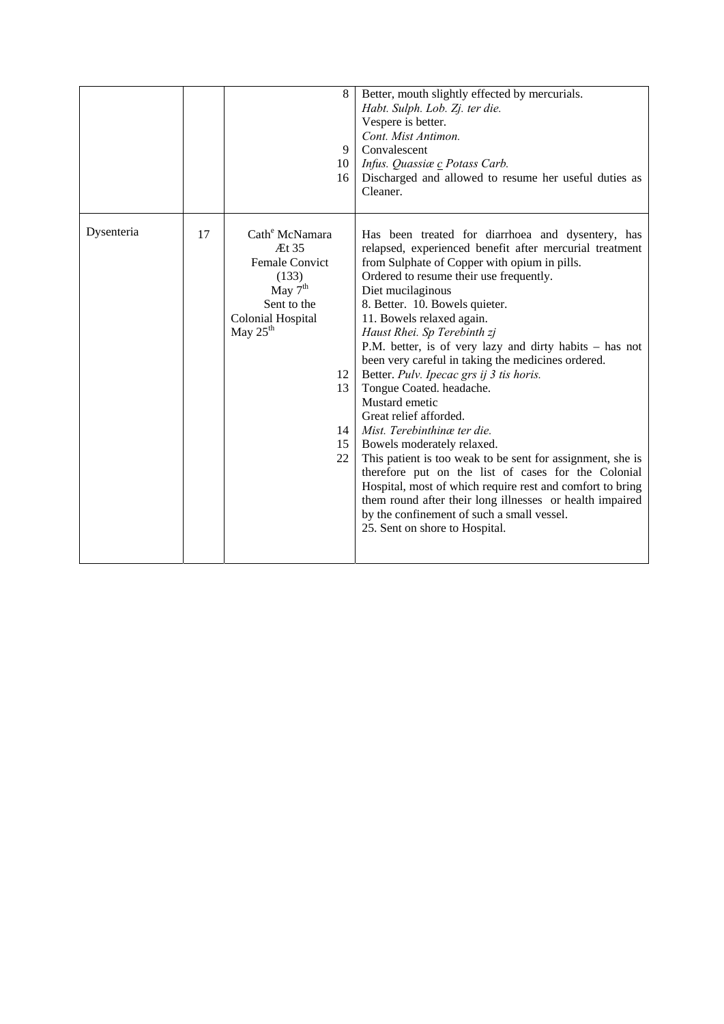|            |    |                                                                                                                                                       | 8<br>9<br>10<br>16         | Better, mouth slightly effected by mercurials.<br>Habt. Sulph. Lob. Zj. ter die.<br>Vespere is better.<br>Cont. Mist Antimon.<br>Convalescent<br>Infus. Quassiæ c Potass Carb.<br>Discharged and allowed to resume her useful duties as<br>Cleaner.                                                                                                                                                                                                                                                                                                                                                                                                                                                                                                                                                                                                                                                                                                        |
|------------|----|-------------------------------------------------------------------------------------------------------------------------------------------------------|----------------------------|------------------------------------------------------------------------------------------------------------------------------------------------------------------------------------------------------------------------------------------------------------------------------------------------------------------------------------------------------------------------------------------------------------------------------------------------------------------------------------------------------------------------------------------------------------------------------------------------------------------------------------------------------------------------------------------------------------------------------------------------------------------------------------------------------------------------------------------------------------------------------------------------------------------------------------------------------------|
| Dysenteria | 17 | Cath <sup>e</sup> McNamara<br>Æt 35<br><b>Female Convict</b><br>(133)<br>May $7th$<br>Sent to the<br><b>Colonial Hospital</b><br>May $25^{\text{th}}$ | 12<br>13<br>14<br>15<br>22 | Has been treated for diarrhoea and dysentery, has<br>relapsed, experienced benefit after mercurial treatment<br>from Sulphate of Copper with opium in pills.<br>Ordered to resume their use frequently.<br>Diet mucilaginous<br>8. Better. 10. Bowels quieter.<br>11. Bowels relaxed again.<br>Haust Rhei. Sp Terebinth zj<br>P.M. better, is of very lazy and dirty habits - has not<br>been very careful in taking the medicines ordered.<br>Better. Pulv. Ipecac grs ij 3 tis horis.<br>Tongue Coated. headache.<br>Mustard emetic<br>Great relief afforded.<br>Mist. Terebinthing ter die.<br>Bowels moderately relaxed.<br>This patient is too weak to be sent for assignment, she is<br>therefore put on the list of cases for the Colonial<br>Hospital, most of which require rest and comfort to bring<br>them round after their long illnesses or health impaired<br>by the confinement of such a small vessel.<br>25. Sent on shore to Hospital. |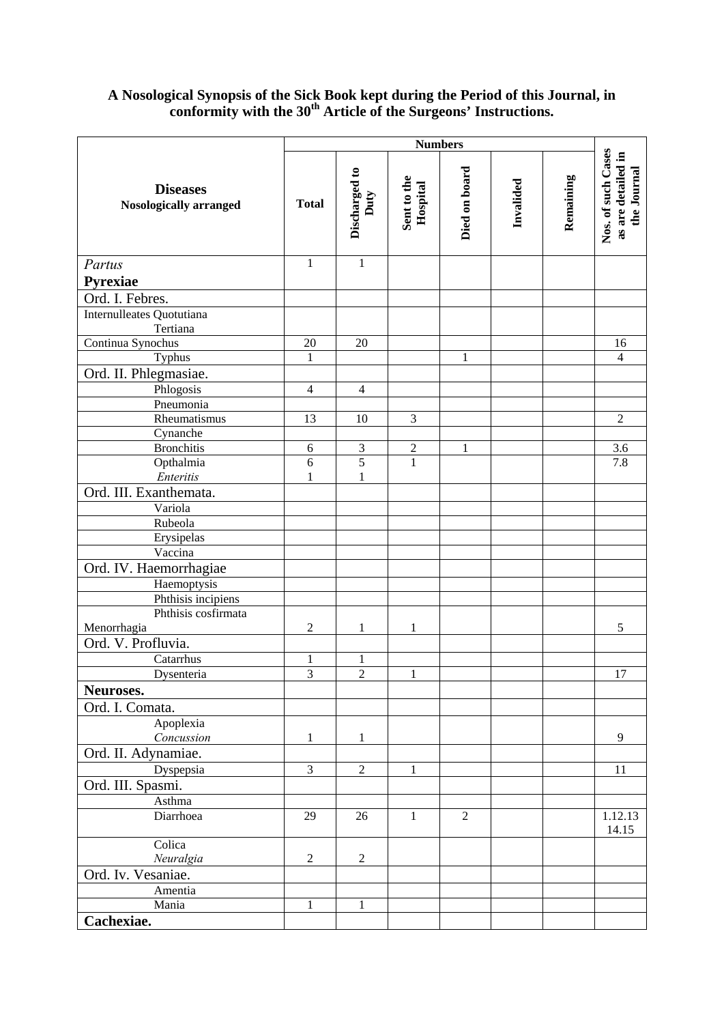# **A Nosological Synopsis of the Sick Book kept during the Period of this Journal, in conformity with the 30th Article of the Surgeons' Instructions.**

|                                                  | <b>Numbers</b> |                       |                         |               |           |           |                                                         |
|--------------------------------------------------|----------------|-----------------------|-------------------------|---------------|-----------|-----------|---------------------------------------------------------|
| <b>Diseases</b><br><b>Nosologically arranged</b> | <b>Total</b>   | Discharged to<br>Duty | Sent to the<br>Hospital | Died on board | Invalided | Remaining | Nos. of such Cases<br>as are detailed in<br>the Journal |
| Partus                                           | $\mathbf{1}$   | $\mathbf{1}$          |                         |               |           |           |                                                         |
| Pyrexiae                                         |                |                       |                         |               |           |           |                                                         |
| Ord. I. Febres.                                  |                |                       |                         |               |           |           |                                                         |
| Internulleates Quotutiana                        |                |                       |                         |               |           |           |                                                         |
| Tertiana                                         |                |                       |                         |               |           |           |                                                         |
| Continua Synochus                                | 20             | 20                    |                         |               |           |           | 16                                                      |
| Typhus                                           | $\mathbf{1}$   |                       |                         | $\mathbf{1}$  |           |           | $\overline{4}$                                          |
| Ord. II. Phlegmasiae.                            |                |                       |                         |               |           |           |                                                         |
| Phlogosis                                        | $\overline{4}$ | $\overline{4}$        |                         |               |           |           |                                                         |
| Pneumonia                                        |                |                       |                         |               |           |           |                                                         |
| Rheumatismus                                     | 13             | 10                    | $\mathfrak{Z}$          |               |           |           | $\overline{2}$                                          |
| Cynanche                                         |                |                       |                         |               |           |           |                                                         |
| <b>Bronchitis</b>                                | 6              | 3                     | $\overline{2}$          | $\mathbf{1}$  |           |           | 3.6                                                     |
| Opthalmia                                        | 6              | 5                     | $\overline{1}$          |               |           |           | 7.8                                                     |
| Enteritis                                        | 1              | $\mathbf{1}$          |                         |               |           |           |                                                         |
| Ord. III. Exanthemata.                           |                |                       |                         |               |           |           |                                                         |
| Variola                                          |                |                       |                         |               |           |           |                                                         |
| Rubeola                                          |                |                       |                         |               |           |           |                                                         |
| Erysipelas                                       |                |                       |                         |               |           |           |                                                         |
| Vaccina                                          |                |                       |                         |               |           |           |                                                         |
| Ord. IV. Haemorrhagiae                           |                |                       |                         |               |           |           |                                                         |
| Haemoptysis                                      |                |                       |                         |               |           |           |                                                         |
| Phthisis incipiens<br>Phthisis cosfirmata        |                |                       |                         |               |           |           |                                                         |
| Menorrhagia                                      | $\overline{c}$ | 1                     | $\mathbf{1}$            |               |           |           | 5                                                       |
| Ord. V. Profluvia.                               |                |                       |                         |               |           |           |                                                         |
| Catarrhus                                        | $\mathbf{1}$   | $\mathbf{1}$          |                         |               |           |           |                                                         |
| Dysenteria                                       | $\overline{3}$ | $\overline{2}$        | $\mathbf{1}$            |               |           |           | 17                                                      |
| Neuroses.                                        |                |                       |                         |               |           |           |                                                         |
| Ord. I. Comata.                                  |                |                       |                         |               |           |           |                                                         |
| Apoplexia                                        |                |                       |                         |               |           |           |                                                         |
| Concussion                                       | 1              | 1                     |                         |               |           |           | 9                                                       |
| Ord. II. Adynamiae.                              |                |                       |                         |               |           |           |                                                         |
| Dyspepsia                                        | $\mathfrak{Z}$ | $\mathbf{2}$          | $\mathbf{1}$            |               |           |           | 11                                                      |
| Ord. III. Spasmi.                                |                |                       |                         |               |           |           |                                                         |
|                                                  |                |                       |                         |               |           |           |                                                         |
| Asthma<br>Diarrhoea                              | 29             | 26                    | $\mathbf{1}$            | 2             |           |           | 1.12.13                                                 |
|                                                  |                |                       |                         |               |           |           | 14.15                                                   |
| Colica                                           |                |                       |                         |               |           |           |                                                         |
| Neuralgia                                        | $\overline{2}$ | $\mathfrak{2}$        |                         |               |           |           |                                                         |
| Ord. Iv. Vesaniae.                               |                |                       |                         |               |           |           |                                                         |
| Amentia                                          |                |                       |                         |               |           |           |                                                         |
| Mania                                            | $\mathbf{1}$   | 1                     |                         |               |           |           |                                                         |
| Cachexiae.                                       |                |                       |                         |               |           |           |                                                         |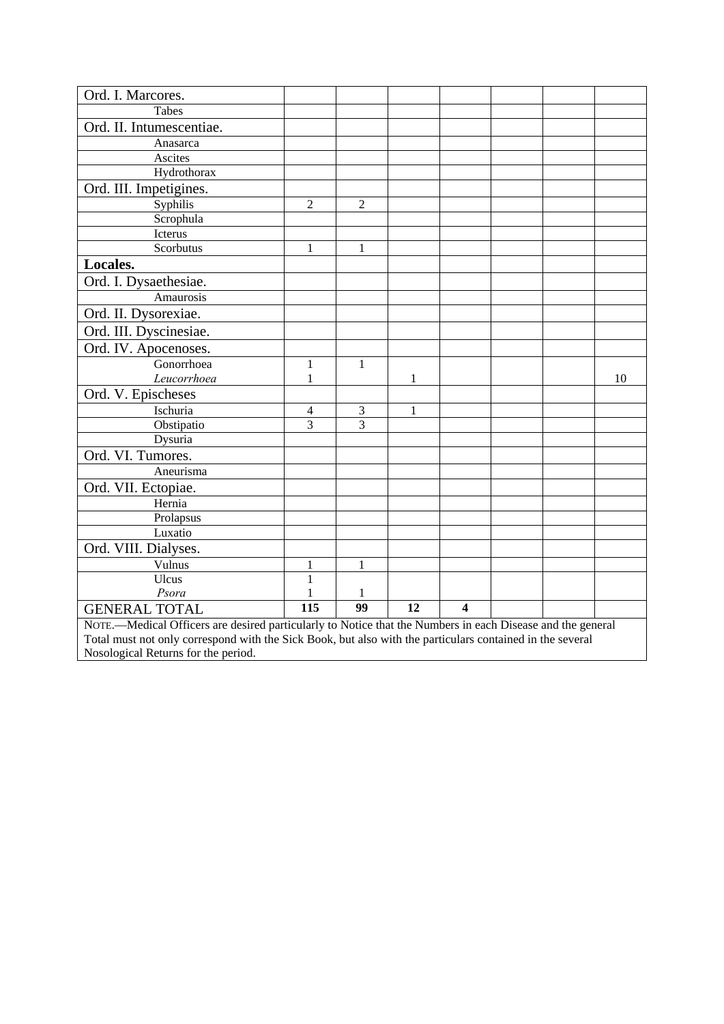| Ord. I. Marcores.                                                                                          |                  |                |    |                         |  |  |    |
|------------------------------------------------------------------------------------------------------------|------------------|----------------|----|-------------------------|--|--|----|
| Tabes                                                                                                      |                  |                |    |                         |  |  |    |
| Ord. II. Intumescentiae.                                                                                   |                  |                |    |                         |  |  |    |
| Anasarca                                                                                                   |                  |                |    |                         |  |  |    |
| Ascites                                                                                                    |                  |                |    |                         |  |  |    |
| Hydrothorax                                                                                                |                  |                |    |                         |  |  |    |
| Ord. III. Impetigines.                                                                                     |                  |                |    |                         |  |  |    |
| Syphilis                                                                                                   | $\overline{2}$   | $\overline{2}$ |    |                         |  |  |    |
| Scrophula                                                                                                  |                  |                |    |                         |  |  |    |
| Icterus                                                                                                    |                  |                |    |                         |  |  |    |
| Scorbutus                                                                                                  | $\mathbf{1}$     | $\mathbf{1}$   |    |                         |  |  |    |
| Locales.                                                                                                   |                  |                |    |                         |  |  |    |
| Ord. I. Dysaethesiae.                                                                                      |                  |                |    |                         |  |  |    |
| Amaurosis                                                                                                  |                  |                |    |                         |  |  |    |
| Ord. II. Dysorexiae.                                                                                       |                  |                |    |                         |  |  |    |
| Ord. III. Dyscinesiae.                                                                                     |                  |                |    |                         |  |  |    |
| Ord. IV. Apocenoses.                                                                                       |                  |                |    |                         |  |  |    |
| Gonorrhoea                                                                                                 | 1                | 1              |    |                         |  |  |    |
| Leucorrhoea                                                                                                | 1                |                | 1  |                         |  |  | 10 |
| Ord. V. Epischeses                                                                                         |                  |                |    |                         |  |  |    |
| Ischuria                                                                                                   | 4                | 3              | 1  |                         |  |  |    |
| Obstipatio                                                                                                 | $\overline{3}$   | 3              |    |                         |  |  |    |
| Dysuria                                                                                                    |                  |                |    |                         |  |  |    |
| Ord. VI. Tumores.                                                                                          |                  |                |    |                         |  |  |    |
| Aneurisma                                                                                                  |                  |                |    |                         |  |  |    |
| Ord. VII. Ectopiae.                                                                                        |                  |                |    |                         |  |  |    |
| Hernia                                                                                                     |                  |                |    |                         |  |  |    |
| Prolapsus                                                                                                  |                  |                |    |                         |  |  |    |
| Luxatio                                                                                                    |                  |                |    |                         |  |  |    |
| Ord. VIII. Dialyses.                                                                                       |                  |                |    |                         |  |  |    |
| Vulnus                                                                                                     | 1                | 1              |    |                         |  |  |    |
| Ulcus                                                                                                      | $\mathbf{1}$     |                |    |                         |  |  |    |
| Psora                                                                                                      |                  | 1              |    |                         |  |  |    |
| <b>GENERAL TOTAL</b>                                                                                       | $\overline{115}$ | 99             | 12 | $\overline{\mathbf{4}}$ |  |  |    |
| NOTE.—Medical Officers are desired particularly to Notice that the Numbers in each Disease and the general |                  |                |    |                         |  |  |    |
| Total must not only correspond with the Sick Book, but also with the particulars contained in the several  |                  |                |    |                         |  |  |    |

Nosological Returns for the period.